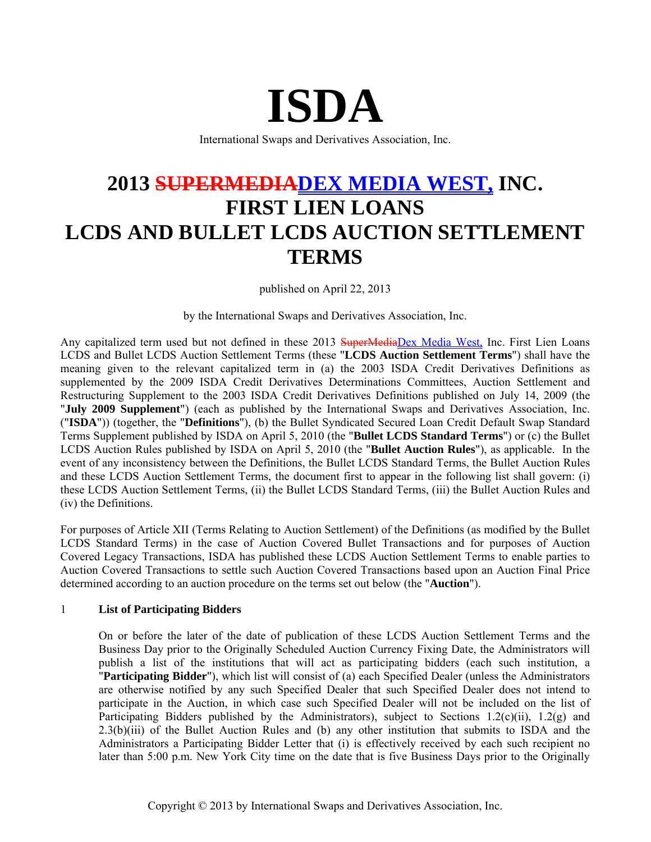# **ISDA**

International Swaps and Derivatives Association, Inc.

# **2013 SUPERMEDIADEX MEDIA WEST, INC. FIRST LIEN LOANS LCDS AND BULLET LCDS AUCTION SETTLEMENT TERMS**

published on April 22, 2013

by the International Swaps and Derivatives Association, Inc.

Any capitalized term used but not defined in these 2013 SuperMediaDex Media West, Inc. First Lien Loans LCDS and Bullet LCDS Auction Settlement Terms (these "**LCDS Auction Settlement Terms**") shall have the meaning given to the relevant capitalized term in (a) the 2003 ISDA Credit Derivatives Definitions as supplemented by the 2009 ISDA Credit Derivatives Determinations Committees, Auction Settlement and Restructuring Supplement to the 2003 ISDA Credit Derivatives Definitions published on July 14, 2009 (the "**July 2009 Supplement**") (each as published by the International Swaps and Derivatives Association, Inc. ("**ISDA**")) (together, the "**Definitions**"), (b) the Bullet Syndicated Secured Loan Credit Default Swap Standard Terms Supplement published by ISDA on April 5, 2010 (the "**Bullet LCDS Standard Terms**") or (c) the Bullet LCDS Auction Rules published by ISDA on April 5, 2010 (the "**Bullet Auction Rules**"), as applicable. In the event of any inconsistency between the Definitions, the Bullet LCDS Standard Terms, the Bullet Auction Rules and these LCDS Auction Settlement Terms, the document first to appear in the following list shall govern: (i) these LCDS Auction Settlement Terms, (ii) the Bullet LCDS Standard Terms, (iii) the Bullet Auction Rules and (iv) the Definitions.

For purposes of Article XII (Terms Relating to Auction Settlement) of the Definitions (as modified by the Bullet LCDS Standard Terms) in the case of Auction Covered Bullet Transactions and for purposes of Auction Covered Legacy Transactions, ISDA has published these LCDS Auction Settlement Terms to enable parties to Auction Covered Transactions to settle such Auction Covered Transactions based upon an Auction Final Price determined according to an auction procedure on the terms set out below (the "**Auction**").

### 1 **List of Participating Bidders**

On or before the later of the date of publication of these LCDS Auction Settlement Terms and the Business Day prior to the Originally Scheduled Auction Currency Fixing Date, the Administrators will publish a list of the institutions that will act as participating bidders (each such institution, a "**Participating Bidder**"), which list will consist of (a) each Specified Dealer (unless the Administrators are otherwise notified by any such Specified Dealer that such Specified Dealer does not intend to participate in the Auction, in which case such Specified Dealer will not be included on the list of Participating Bidders published by the Administrators), subject to Sections  $1.2(c)(ii)$ ,  $1.2(g)$  and 2.3(b)(iii) of the Bullet Auction Rules and (b) any other institution that submits to ISDA and the Administrators a Participating Bidder Letter that (i) is effectively received by each such recipient no later than 5:00 p.m. New York City time on the date that is five Business Days prior to the Originally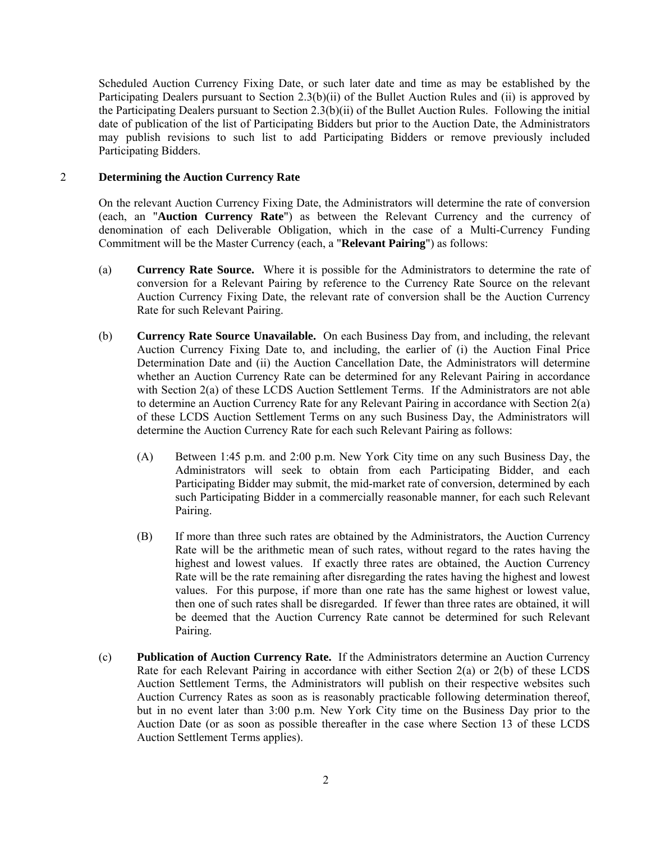Scheduled Auction Currency Fixing Date, or such later date and time as may be established by the Participating Dealers pursuant to Section 2.3(b)(ii) of the Bullet Auction Rules and (ii) is approved by the Participating Dealers pursuant to Section 2.3(b)(ii) of the Bullet Auction Rules. Following the initial date of publication of the list of Participating Bidders but prior to the Auction Date, the Administrators may publish revisions to such list to add Participating Bidders or remove previously included Participating Bidders.

#### 2 **Determining the Auction Currency Rate**

On the relevant Auction Currency Fixing Date, the Administrators will determine the rate of conversion (each, an "**Auction Currency Rate**") as between the Relevant Currency and the currency of denomination of each Deliverable Obligation, which in the case of a Multi-Currency Funding Commitment will be the Master Currency (each, a "**Relevant Pairing**") as follows:

- (a) **Currency Rate Source.** Where it is possible for the Administrators to determine the rate of conversion for a Relevant Pairing by reference to the Currency Rate Source on the relevant Auction Currency Fixing Date, the relevant rate of conversion shall be the Auction Currency Rate for such Relevant Pairing.
- (b) **Currency Rate Source Unavailable.** On each Business Day from, and including, the relevant Auction Currency Fixing Date to, and including, the earlier of (i) the Auction Final Price Determination Date and (ii) the Auction Cancellation Date, the Administrators will determine whether an Auction Currency Rate can be determined for any Relevant Pairing in accordance with Section 2(a) of these LCDS Auction Settlement Terms. If the Administrators are not able to determine an Auction Currency Rate for any Relevant Pairing in accordance with Section 2(a) of these LCDS Auction Settlement Terms on any such Business Day, the Administrators will determine the Auction Currency Rate for each such Relevant Pairing as follows:
	- (A) Between 1:45 p.m. and 2:00 p.m. New York City time on any such Business Day, the Administrators will seek to obtain from each Participating Bidder, and each Participating Bidder may submit, the mid-market rate of conversion, determined by each such Participating Bidder in a commercially reasonable manner, for each such Relevant Pairing.
	- (B) If more than three such rates are obtained by the Administrators, the Auction Currency Rate will be the arithmetic mean of such rates, without regard to the rates having the highest and lowest values. If exactly three rates are obtained, the Auction Currency Rate will be the rate remaining after disregarding the rates having the highest and lowest values. For this purpose, if more than one rate has the same highest or lowest value, then one of such rates shall be disregarded. If fewer than three rates are obtained, it will be deemed that the Auction Currency Rate cannot be determined for such Relevant Pairing.
- (c) **Publication of Auction Currency Rate.** If the Administrators determine an Auction Currency Rate for each Relevant Pairing in accordance with either Section 2(a) or 2(b) of these LCDS Auction Settlement Terms, the Administrators will publish on their respective websites such Auction Currency Rates as soon as is reasonably practicable following determination thereof, but in no event later than 3:00 p.m. New York City time on the Business Day prior to the Auction Date (or as soon as possible thereafter in the case where Section 13 of these LCDS Auction Settlement Terms applies).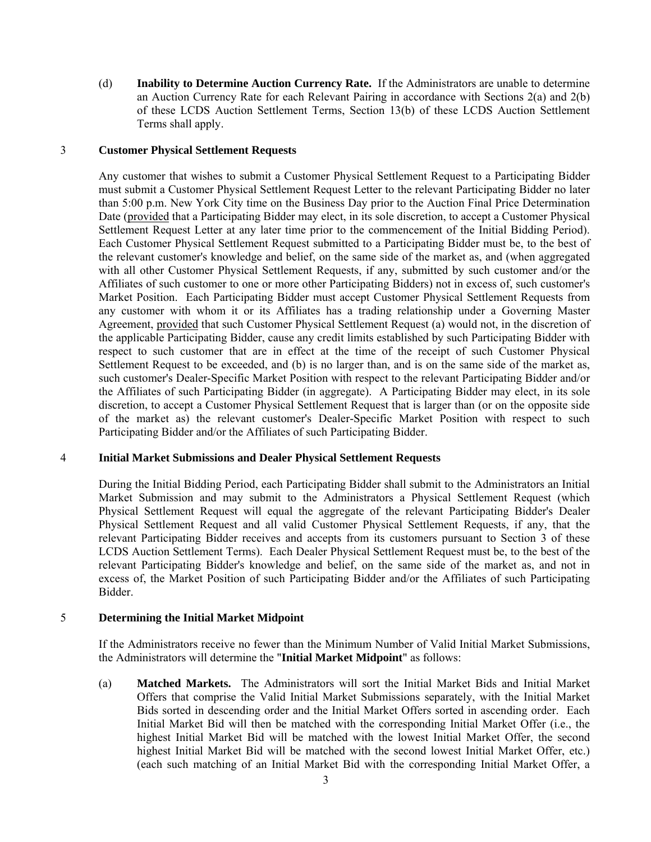(d) **Inability to Determine Auction Currency Rate.** If the Administrators are unable to determine an Auction Currency Rate for each Relevant Pairing in accordance with Sections 2(a) and 2(b) of these LCDS Auction Settlement Terms, Section 13(b) of these LCDS Auction Settlement Terms shall apply.

#### 3 **Customer Physical Settlement Requests**

Any customer that wishes to submit a Customer Physical Settlement Request to a Participating Bidder must submit a Customer Physical Settlement Request Letter to the relevant Participating Bidder no later than 5:00 p.m. New York City time on the Business Day prior to the Auction Final Price Determination Date (provided that a Participating Bidder may elect, in its sole discretion, to accept a Customer Physical Settlement Request Letter at any later time prior to the commencement of the Initial Bidding Period). Each Customer Physical Settlement Request submitted to a Participating Bidder must be, to the best of the relevant customer's knowledge and belief, on the same side of the market as, and (when aggregated with all other Customer Physical Settlement Requests, if any, submitted by such customer and/or the Affiliates of such customer to one or more other Participating Bidders) not in excess of, such customer's Market Position. Each Participating Bidder must accept Customer Physical Settlement Requests from any customer with whom it or its Affiliates has a trading relationship under a Governing Master Agreement, provided that such Customer Physical Settlement Request (a) would not, in the discretion of the applicable Participating Bidder, cause any credit limits established by such Participating Bidder with respect to such customer that are in effect at the time of the receipt of such Customer Physical Settlement Request to be exceeded, and (b) is no larger than, and is on the same side of the market as, such customer's Dealer-Specific Market Position with respect to the relevant Participating Bidder and/or the Affiliates of such Participating Bidder (in aggregate). A Participating Bidder may elect, in its sole discretion, to accept a Customer Physical Settlement Request that is larger than (or on the opposite side of the market as) the relevant customer's Dealer-Specific Market Position with respect to such Participating Bidder and/or the Affiliates of such Participating Bidder.

#### 4 **Initial Market Submissions and Dealer Physical Settlement Requests**

During the Initial Bidding Period, each Participating Bidder shall submit to the Administrators an Initial Market Submission and may submit to the Administrators a Physical Settlement Request (which Physical Settlement Request will equal the aggregate of the relevant Participating Bidder's Dealer Physical Settlement Request and all valid Customer Physical Settlement Requests, if any, that the relevant Participating Bidder receives and accepts from its customers pursuant to Section 3 of these LCDS Auction Settlement Terms). Each Dealer Physical Settlement Request must be, to the best of the relevant Participating Bidder's knowledge and belief, on the same side of the market as, and not in excess of, the Market Position of such Participating Bidder and/or the Affiliates of such Participating Bidder.

#### 5 **Determining the Initial Market Midpoint**

If the Administrators receive no fewer than the Minimum Number of Valid Initial Market Submissions, the Administrators will determine the "**Initial Market Midpoint**" as follows:

(a) **Matched Markets.** The Administrators will sort the Initial Market Bids and Initial Market Offers that comprise the Valid Initial Market Submissions separately, with the Initial Market Bids sorted in descending order and the Initial Market Offers sorted in ascending order. Each Initial Market Bid will then be matched with the corresponding Initial Market Offer (i.e., the highest Initial Market Bid will be matched with the lowest Initial Market Offer, the second highest Initial Market Bid will be matched with the second lowest Initial Market Offer, etc.) (each such matching of an Initial Market Bid with the corresponding Initial Market Offer, a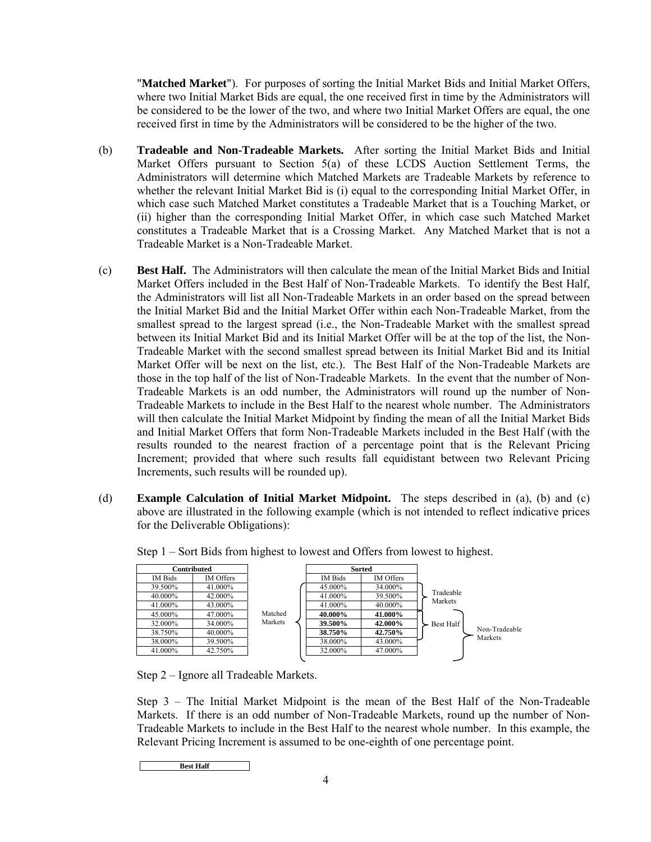"**Matched Market**"). For purposes of sorting the Initial Market Bids and Initial Market Offers, where two Initial Market Bids are equal, the one received first in time by the Administrators will be considered to be the lower of the two, and where two Initial Market Offers are equal, the one received first in time by the Administrators will be considered to be the higher of the two.

- (b) **Tradeable and Non-Tradeable Markets.** After sorting the Initial Market Bids and Initial Market Offers pursuant to Section 5(a) of these LCDS Auction Settlement Terms, the Administrators will determine which Matched Markets are Tradeable Markets by reference to whether the relevant Initial Market Bid is (i) equal to the corresponding Initial Market Offer, in which case such Matched Market constitutes a Tradeable Market that is a Touching Market, or (ii) higher than the corresponding Initial Market Offer, in which case such Matched Market constitutes a Tradeable Market that is a Crossing Market. Any Matched Market that is not a Tradeable Market is a Non-Tradeable Market.
- (c) **Best Half.** The Administrators will then calculate the mean of the Initial Market Bids and Initial Market Offers included in the Best Half of Non-Tradeable Markets. To identify the Best Half, the Administrators will list all Non-Tradeable Markets in an order based on the spread between the Initial Market Bid and the Initial Market Offer within each Non-Tradeable Market, from the smallest spread to the largest spread (i.e., the Non-Tradeable Market with the smallest spread between its Initial Market Bid and its Initial Market Offer will be at the top of the list, the Non-Tradeable Market with the second smallest spread between its Initial Market Bid and its Initial Market Offer will be next on the list, etc.). The Best Half of the Non-Tradeable Markets are those in the top half of the list of Non-Tradeable Markets. In the event that the number of Non-Tradeable Markets is an odd number, the Administrators will round up the number of Non-Tradeable Markets to include in the Best Half to the nearest whole number. The Administrators will then calculate the Initial Market Midpoint by finding the mean of all the Initial Market Bids and Initial Market Offers that form Non-Tradeable Markets included in the Best Half (with the results rounded to the nearest fraction of a percentage point that is the Relevant Pricing Increment; provided that where such results fall equidistant between two Relevant Pricing Increments, such results will be rounded up).
- (d) **Example Calculation of Initial Market Midpoint.** The steps described in (a), (b) and (c) above are illustrated in the following example (which is not intended to reflect indicative prices for the Deliverable Obligations):



Step 1 – Sort Bids from highest to lowest and Offers from lowest to highest.

Step 2 – Ignore all Tradeable Markets.

Step 3 – The Initial Market Midpoint is the mean of the Best Half of the Non-Tradeable Markets. If there is an odd number of Non-Tradeable Markets, round up the number of Non-Tradeable Markets to include in the Best Half to the nearest whole number. In this example, the Relevant Pricing Increment is assumed to be one-eighth of one percentage point.

**Best Half**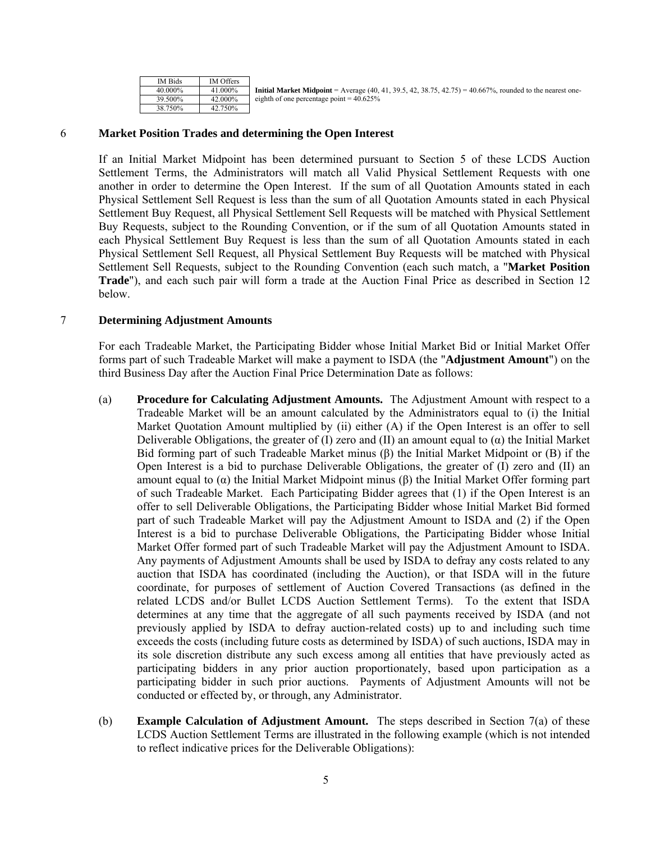| <b>IM Bids</b> | <b>IM Offers</b> |                                                                                                                  |
|----------------|------------------|------------------------------------------------------------------------------------------------------------------|
| 40.000%        | 41.000%          | <b>Initial Market Midpoint</b> = Average (40, 41, 39.5, 42, 38.75, 42.75) = 40.667%, rounded to the nearest one- |
| 39.500%        | 42.000%          | eighth of one percentage point $= 40.625\%$                                                                      |
| 38.750%        | 42.750%          |                                                                                                                  |

#### 6 **Market Position Trades and determining the Open Interest**

If an Initial Market Midpoint has been determined pursuant to Section 5 of these LCDS Auction Settlement Terms, the Administrators will match all Valid Physical Settlement Requests with one another in order to determine the Open Interest. If the sum of all Quotation Amounts stated in each Physical Settlement Sell Request is less than the sum of all Quotation Amounts stated in each Physical Settlement Buy Request, all Physical Settlement Sell Requests will be matched with Physical Settlement Buy Requests, subject to the Rounding Convention, or if the sum of all Quotation Amounts stated in each Physical Settlement Buy Request is less than the sum of all Quotation Amounts stated in each Physical Settlement Sell Request, all Physical Settlement Buy Requests will be matched with Physical Settlement Sell Requests, subject to the Rounding Convention (each such match, a "**Market Position Trade**"), and each such pair will form a trade at the Auction Final Price as described in Section 12 below.

#### 7 **Determining Adjustment Amounts**

For each Tradeable Market, the Participating Bidder whose Initial Market Bid or Initial Market Offer forms part of such Tradeable Market will make a payment to ISDA (the "**Adjustment Amount**") on the third Business Day after the Auction Final Price Determination Date as follows:

- (a) **Procedure for Calculating Adjustment Amounts.** The Adjustment Amount with respect to a Tradeable Market will be an amount calculated by the Administrators equal to (i) the Initial Market Quotation Amount multiplied by (ii) either (A) if the Open Interest is an offer to sell Deliverable Obligations, the greater of (I) zero and (II) an amount equal to ( $\alpha$ ) the Initial Market Bid forming part of such Tradeable Market minus (β) the Initial Market Midpoint or (B) if the Open Interest is a bid to purchase Deliverable Obligations, the greater of (I) zero and (II) an amount equal to (α) the Initial Market Midpoint minus (β) the Initial Market Offer forming part of such Tradeable Market. Each Participating Bidder agrees that (1) if the Open Interest is an offer to sell Deliverable Obligations, the Participating Bidder whose Initial Market Bid formed part of such Tradeable Market will pay the Adjustment Amount to ISDA and (2) if the Open Interest is a bid to purchase Deliverable Obligations, the Participating Bidder whose Initial Market Offer formed part of such Tradeable Market will pay the Adjustment Amount to ISDA. Any payments of Adjustment Amounts shall be used by ISDA to defray any costs related to any auction that ISDA has coordinated (including the Auction), or that ISDA will in the future coordinate, for purposes of settlement of Auction Covered Transactions (as defined in the related LCDS and/or Bullet LCDS Auction Settlement Terms). To the extent that ISDA determines at any time that the aggregate of all such payments received by ISDA (and not previously applied by ISDA to defray auction-related costs) up to and including such time exceeds the costs (including future costs as determined by ISDA) of such auctions, ISDA may in its sole discretion distribute any such excess among all entities that have previously acted as participating bidders in any prior auction proportionately, based upon participation as a participating bidder in such prior auctions. Payments of Adjustment Amounts will not be conducted or effected by, or through, any Administrator.
- (b) **Example Calculation of Adjustment Amount.** The steps described in Section 7(a) of these LCDS Auction Settlement Terms are illustrated in the following example (which is not intended to reflect indicative prices for the Deliverable Obligations):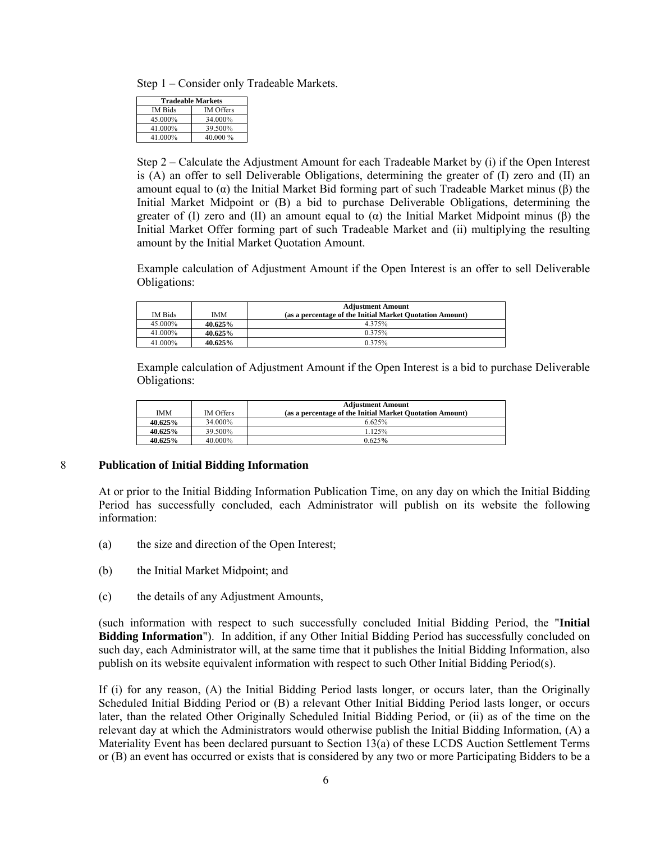Step 1 – Consider only Tradeable Markets.

| <b>Tradeable Markets</b> |                  |  |  |
|--------------------------|------------------|--|--|
| IM Bids                  | <b>IM</b> Offers |  |  |
| 45.000%                  | 34.000%          |  |  |
| 41.000%                  | 39.500%          |  |  |
| 41.000%                  | 40.000 %         |  |  |

Step 2 – Calculate the Adjustment Amount for each Tradeable Market by (i) if the Open Interest is (A) an offer to sell Deliverable Obligations, determining the greater of (I) zero and (II) an amount equal to (α) the Initial Market Bid forming part of such Tradeable Market minus (β) the Initial Market Midpoint or (B) a bid to purchase Deliverable Obligations, determining the greater of (I) zero and (II) an amount equal to (α) the Initial Market Midpoint minus (β) the Initial Market Offer forming part of such Tradeable Market and (ii) multiplying the resulting amount by the Initial Market Quotation Amount.

Example calculation of Adjustment Amount if the Open Interest is an offer to sell Deliverable Obligations:

|                |            | <b>Adjustment Amount</b>                                 |
|----------------|------------|----------------------------------------------------------|
| <b>IM Bids</b> | <b>IMM</b> | (as a percentage of the Initial Market Quotation Amount) |
| 45.000%        | $40.625\%$ | 4.375%                                                   |
| 41.000%        | 40.625%    | 0.375%                                                   |
| 41.000%        | 40.625%    | 0.375%                                                   |

Example calculation of Adjustment Amount if the Open Interest is a bid to purchase Deliverable Obligations:

| IMM     | <b>IM Offers</b> | <b>Adjustment Amount</b><br>(as a percentage of the Initial Market Quotation Amount) |
|---------|------------------|--------------------------------------------------------------------------------------|
| 40.625% | 34.000%          | 6.625%                                                                               |
| 40.625% | 39.500%          | .125%                                                                                |
| 40.625% | 40.000%          | 0.625%                                                                               |

#### 8 **Publication of Initial Bidding Information**

At or prior to the Initial Bidding Information Publication Time, on any day on which the Initial Bidding Period has successfully concluded, each Administrator will publish on its website the following information:

- (a) the size and direction of the Open Interest;
- (b) the Initial Market Midpoint; and
- (c) the details of any Adjustment Amounts,

(such information with respect to such successfully concluded Initial Bidding Period, the "**Initial Bidding Information**"). In addition, if any Other Initial Bidding Period has successfully concluded on such day, each Administrator will, at the same time that it publishes the Initial Bidding Information, also publish on its website equivalent information with respect to such Other Initial Bidding Period(s).

If (i) for any reason, (A) the Initial Bidding Period lasts longer, or occurs later, than the Originally Scheduled Initial Bidding Period or (B) a relevant Other Initial Bidding Period lasts longer, or occurs later, than the related Other Originally Scheduled Initial Bidding Period, or (ii) as of the time on the relevant day at which the Administrators would otherwise publish the Initial Bidding Information, (A) a Materiality Event has been declared pursuant to Section 13(a) of these LCDS Auction Settlement Terms or (B) an event has occurred or exists that is considered by any two or more Participating Bidders to be a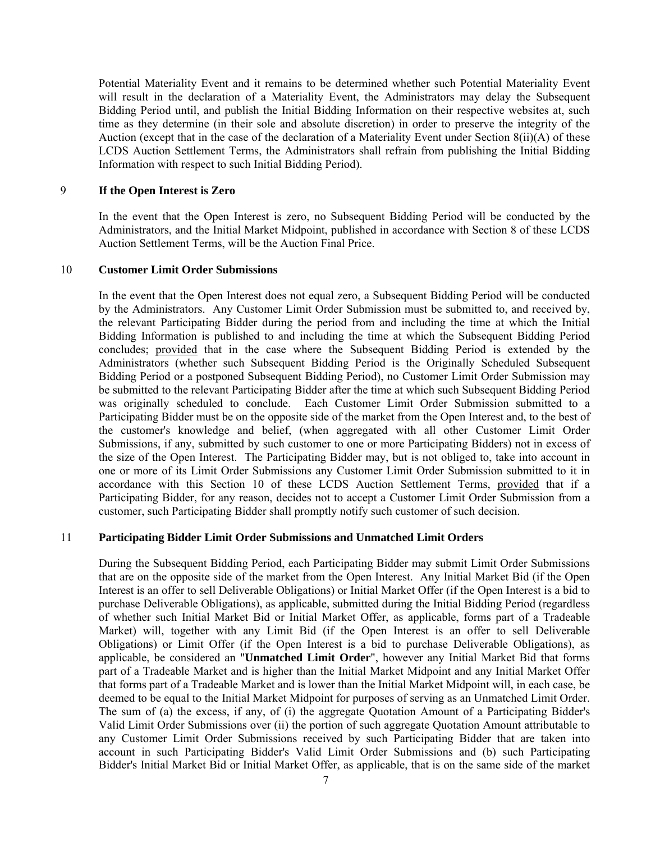Potential Materiality Event and it remains to be determined whether such Potential Materiality Event will result in the declaration of a Materiality Event, the Administrators may delay the Subsequent Bidding Period until, and publish the Initial Bidding Information on their respective websites at, such time as they determine (in their sole and absolute discretion) in order to preserve the integrity of the Auction (except that in the case of the declaration of a Materiality Event under Section 8(ii)(A) of these LCDS Auction Settlement Terms, the Administrators shall refrain from publishing the Initial Bidding Information with respect to such Initial Bidding Period).

#### 9 **If the Open Interest is Zero**

In the event that the Open Interest is zero, no Subsequent Bidding Period will be conducted by the Administrators, and the Initial Market Midpoint, published in accordance with Section 8 of these LCDS Auction Settlement Terms, will be the Auction Final Price.

#### 10 **Customer Limit Order Submissions**

In the event that the Open Interest does not equal zero, a Subsequent Bidding Period will be conducted by the Administrators. Any Customer Limit Order Submission must be submitted to, and received by, the relevant Participating Bidder during the period from and including the time at which the Initial Bidding Information is published to and including the time at which the Subsequent Bidding Period concludes; provided that in the case where the Subsequent Bidding Period is extended by the Administrators (whether such Subsequent Bidding Period is the Originally Scheduled Subsequent Bidding Period or a postponed Subsequent Bidding Period), no Customer Limit Order Submission may be submitted to the relevant Participating Bidder after the time at which such Subsequent Bidding Period was originally scheduled to conclude. Each Customer Limit Order Submission submitted to a Participating Bidder must be on the opposite side of the market from the Open Interest and, to the best of the customer's knowledge and belief, (when aggregated with all other Customer Limit Order Submissions, if any, submitted by such customer to one or more Participating Bidders) not in excess of the size of the Open Interest. The Participating Bidder may, but is not obliged to, take into account in one or more of its Limit Order Submissions any Customer Limit Order Submission submitted to it in accordance with this Section 10 of these LCDS Auction Settlement Terms, provided that if a Participating Bidder, for any reason, decides not to accept a Customer Limit Order Submission from a customer, such Participating Bidder shall promptly notify such customer of such decision.

#### 11 **Participating Bidder Limit Order Submissions and Unmatched Limit Orders**

During the Subsequent Bidding Period, each Participating Bidder may submit Limit Order Submissions that are on the opposite side of the market from the Open Interest. Any Initial Market Bid (if the Open Interest is an offer to sell Deliverable Obligations) or Initial Market Offer (if the Open Interest is a bid to purchase Deliverable Obligations), as applicable, submitted during the Initial Bidding Period (regardless of whether such Initial Market Bid or Initial Market Offer, as applicable, forms part of a Tradeable Market) will, together with any Limit Bid (if the Open Interest is an offer to sell Deliverable Obligations) or Limit Offer (if the Open Interest is a bid to purchase Deliverable Obligations), as applicable, be considered an "**Unmatched Limit Order**", however any Initial Market Bid that forms part of a Tradeable Market and is higher than the Initial Market Midpoint and any Initial Market Offer that forms part of a Tradeable Market and is lower than the Initial Market Midpoint will, in each case, be deemed to be equal to the Initial Market Midpoint for purposes of serving as an Unmatched Limit Order. The sum of (a) the excess, if any, of (i) the aggregate Quotation Amount of a Participating Bidder's Valid Limit Order Submissions over (ii) the portion of such aggregate Quotation Amount attributable to any Customer Limit Order Submissions received by such Participating Bidder that are taken into account in such Participating Bidder's Valid Limit Order Submissions and (b) such Participating Bidder's Initial Market Bid or Initial Market Offer, as applicable, that is on the same side of the market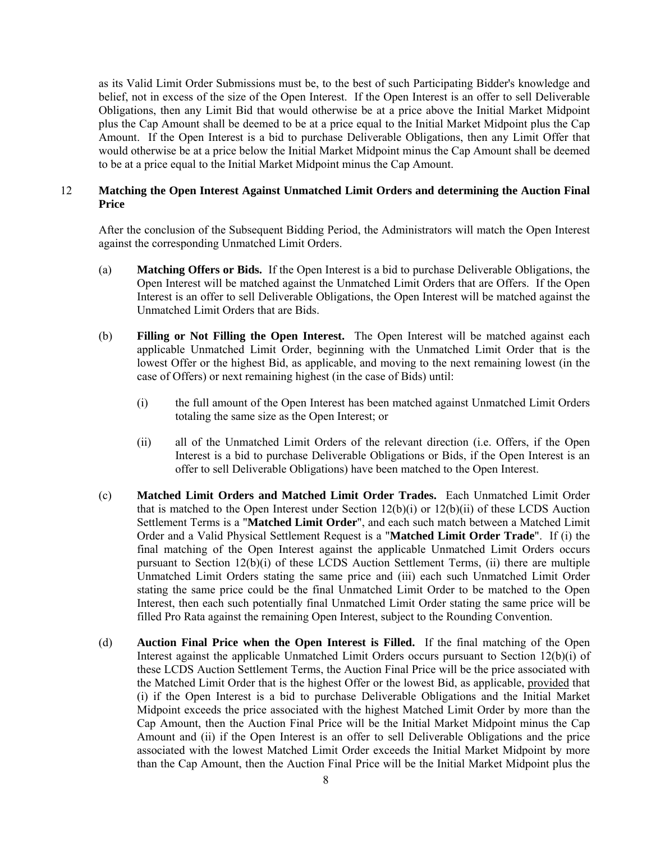as its Valid Limit Order Submissions must be, to the best of such Participating Bidder's knowledge and belief, not in excess of the size of the Open Interest. If the Open Interest is an offer to sell Deliverable Obligations, then any Limit Bid that would otherwise be at a price above the Initial Market Midpoint plus the Cap Amount shall be deemed to be at a price equal to the Initial Market Midpoint plus the Cap Amount. If the Open Interest is a bid to purchase Deliverable Obligations, then any Limit Offer that would otherwise be at a price below the Initial Market Midpoint minus the Cap Amount shall be deemed to be at a price equal to the Initial Market Midpoint minus the Cap Amount.

#### 12 **Matching the Open Interest Against Unmatched Limit Orders and determining the Auction Final Price**

After the conclusion of the Subsequent Bidding Period, the Administrators will match the Open Interest against the corresponding Unmatched Limit Orders.

- (a) **Matching Offers or Bids.** If the Open Interest is a bid to purchase Deliverable Obligations, the Open Interest will be matched against the Unmatched Limit Orders that are Offers. If the Open Interest is an offer to sell Deliverable Obligations, the Open Interest will be matched against the Unmatched Limit Orders that are Bids.
- (b) **Filling or Not Filling the Open Interest.** The Open Interest will be matched against each applicable Unmatched Limit Order, beginning with the Unmatched Limit Order that is the lowest Offer or the highest Bid, as applicable, and moving to the next remaining lowest (in the case of Offers) or next remaining highest (in the case of Bids) until:
	- (i) the full amount of the Open Interest has been matched against Unmatched Limit Orders totaling the same size as the Open Interest; or
	- (ii) all of the Unmatched Limit Orders of the relevant direction (i.e. Offers, if the Open Interest is a bid to purchase Deliverable Obligations or Bids, if the Open Interest is an offer to sell Deliverable Obligations) have been matched to the Open Interest.
- (c) **Matched Limit Orders and Matched Limit Order Trades.** Each Unmatched Limit Order that is matched to the Open Interest under Section 12(b)(i) or 12(b)(ii) of these LCDS Auction Settlement Terms is a "**Matched Limit Order**", and each such match between a Matched Limit Order and a Valid Physical Settlement Request is a "**Matched Limit Order Trade**". If (i) the final matching of the Open Interest against the applicable Unmatched Limit Orders occurs pursuant to Section 12(b)(i) of these LCDS Auction Settlement Terms, (ii) there are multiple Unmatched Limit Orders stating the same price and (iii) each such Unmatched Limit Order stating the same price could be the final Unmatched Limit Order to be matched to the Open Interest, then each such potentially final Unmatched Limit Order stating the same price will be filled Pro Rata against the remaining Open Interest, subject to the Rounding Convention.
- (d) **Auction Final Price when the Open Interest is Filled.** If the final matching of the Open Interest against the applicable Unmatched Limit Orders occurs pursuant to Section 12(b)(i) of these LCDS Auction Settlement Terms, the Auction Final Price will be the price associated with the Matched Limit Order that is the highest Offer or the lowest Bid, as applicable, provided that (i) if the Open Interest is a bid to purchase Deliverable Obligations and the Initial Market Midpoint exceeds the price associated with the highest Matched Limit Order by more than the Cap Amount, then the Auction Final Price will be the Initial Market Midpoint minus the Cap Amount and (ii) if the Open Interest is an offer to sell Deliverable Obligations and the price associated with the lowest Matched Limit Order exceeds the Initial Market Midpoint by more than the Cap Amount, then the Auction Final Price will be the Initial Market Midpoint plus the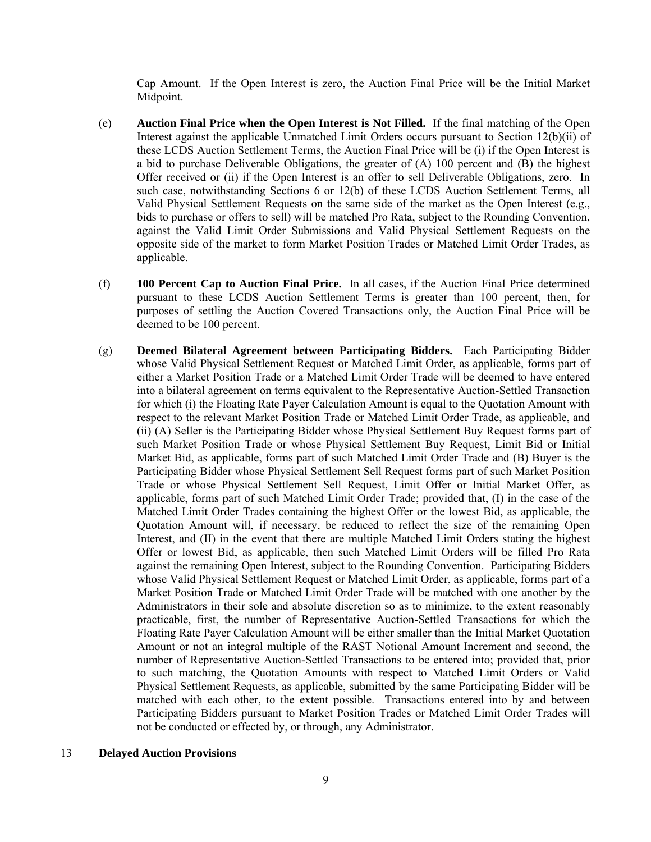Cap Amount. If the Open Interest is zero, the Auction Final Price will be the Initial Market Midpoint.

- (e) **Auction Final Price when the Open Interest is Not Filled.** If the final matching of the Open Interest against the applicable Unmatched Limit Orders occurs pursuant to Section 12(b)(ii) of these LCDS Auction Settlement Terms, the Auction Final Price will be (i) if the Open Interest is a bid to purchase Deliverable Obligations, the greater of (A) 100 percent and (B) the highest Offer received or (ii) if the Open Interest is an offer to sell Deliverable Obligations, zero. In such case, notwithstanding Sections 6 or 12(b) of these LCDS Auction Settlement Terms, all Valid Physical Settlement Requests on the same side of the market as the Open Interest (e.g., bids to purchase or offers to sell) will be matched Pro Rata, subject to the Rounding Convention, against the Valid Limit Order Submissions and Valid Physical Settlement Requests on the opposite side of the market to form Market Position Trades or Matched Limit Order Trades, as applicable.
- (f) **100 Percent Cap to Auction Final Price.** In all cases, if the Auction Final Price determined pursuant to these LCDS Auction Settlement Terms is greater than 100 percent, then, for purposes of settling the Auction Covered Transactions only, the Auction Final Price will be deemed to be 100 percent.
- (g) **Deemed Bilateral Agreement between Participating Bidders.** Each Participating Bidder whose Valid Physical Settlement Request or Matched Limit Order, as applicable, forms part of either a Market Position Trade or a Matched Limit Order Trade will be deemed to have entered into a bilateral agreement on terms equivalent to the Representative Auction-Settled Transaction for which (i) the Floating Rate Payer Calculation Amount is equal to the Quotation Amount with respect to the relevant Market Position Trade or Matched Limit Order Trade, as applicable, and (ii) (A) Seller is the Participating Bidder whose Physical Settlement Buy Request forms part of such Market Position Trade or whose Physical Settlement Buy Request, Limit Bid or Initial Market Bid, as applicable, forms part of such Matched Limit Order Trade and (B) Buyer is the Participating Bidder whose Physical Settlement Sell Request forms part of such Market Position Trade or whose Physical Settlement Sell Request, Limit Offer or Initial Market Offer, as applicable, forms part of such Matched Limit Order Trade; provided that, (I) in the case of the Matched Limit Order Trades containing the highest Offer or the lowest Bid, as applicable, the Quotation Amount will, if necessary, be reduced to reflect the size of the remaining Open Interest, and (II) in the event that there are multiple Matched Limit Orders stating the highest Offer or lowest Bid, as applicable, then such Matched Limit Orders will be filled Pro Rata against the remaining Open Interest, subject to the Rounding Convention. Participating Bidders whose Valid Physical Settlement Request or Matched Limit Order, as applicable, forms part of a Market Position Trade or Matched Limit Order Trade will be matched with one another by the Administrators in their sole and absolute discretion so as to minimize, to the extent reasonably practicable, first, the number of Representative Auction-Settled Transactions for which the Floating Rate Payer Calculation Amount will be either smaller than the Initial Market Quotation Amount or not an integral multiple of the RAST Notional Amount Increment and second, the number of Representative Auction-Settled Transactions to be entered into; provided that, prior to such matching, the Quotation Amounts with respect to Matched Limit Orders or Valid Physical Settlement Requests, as applicable, submitted by the same Participating Bidder will be matched with each other, to the extent possible. Transactions entered into by and between Participating Bidders pursuant to Market Position Trades or Matched Limit Order Trades will not be conducted or effected by, or through, any Administrator.

#### 13 **Delayed Auction Provisions**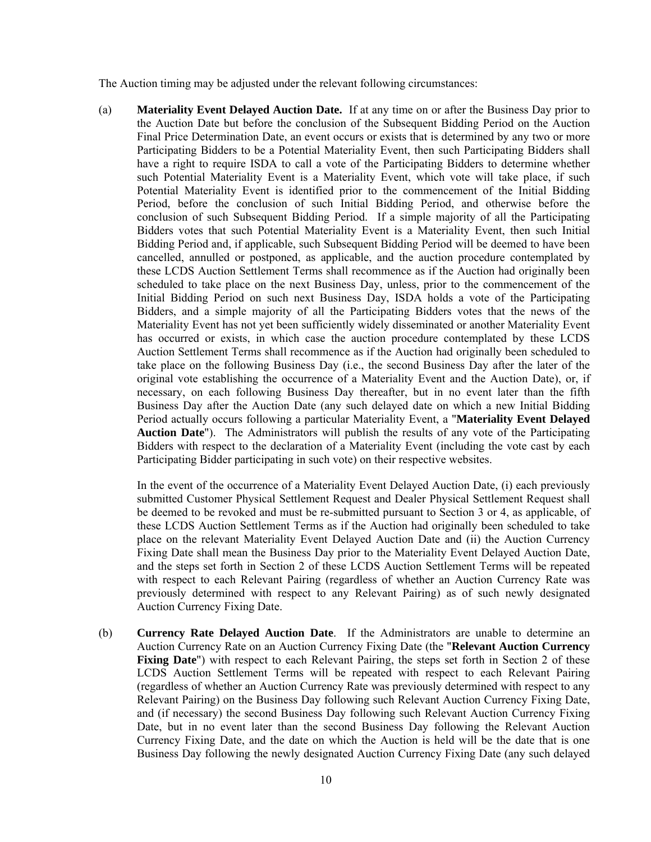The Auction timing may be adjusted under the relevant following circumstances:

(a) **Materiality Event Delayed Auction Date.** If at any time on or after the Business Day prior to the Auction Date but before the conclusion of the Subsequent Bidding Period on the Auction Final Price Determination Date, an event occurs or exists that is determined by any two or more Participating Bidders to be a Potential Materiality Event, then such Participating Bidders shall have a right to require ISDA to call a vote of the Participating Bidders to determine whether such Potential Materiality Event is a Materiality Event, which vote will take place, if such Potential Materiality Event is identified prior to the commencement of the Initial Bidding Period, before the conclusion of such Initial Bidding Period, and otherwise before the conclusion of such Subsequent Bidding Period. If a simple majority of all the Participating Bidders votes that such Potential Materiality Event is a Materiality Event, then such Initial Bidding Period and, if applicable, such Subsequent Bidding Period will be deemed to have been cancelled, annulled or postponed, as applicable, and the auction procedure contemplated by these LCDS Auction Settlement Terms shall recommence as if the Auction had originally been scheduled to take place on the next Business Day, unless, prior to the commencement of the Initial Bidding Period on such next Business Day, ISDA holds a vote of the Participating Bidders, and a simple majority of all the Participating Bidders votes that the news of the Materiality Event has not yet been sufficiently widely disseminated or another Materiality Event has occurred or exists, in which case the auction procedure contemplated by these LCDS Auction Settlement Terms shall recommence as if the Auction had originally been scheduled to take place on the following Business Day (i.e., the second Business Day after the later of the original vote establishing the occurrence of a Materiality Event and the Auction Date), or, if necessary, on each following Business Day thereafter, but in no event later than the fifth Business Day after the Auction Date (any such delayed date on which a new Initial Bidding Period actually occurs following a particular Materiality Event, a "**Materiality Event Delayed Auction Date**"). The Administrators will publish the results of any vote of the Participating Bidders with respect to the declaration of a Materiality Event (including the vote cast by each Participating Bidder participating in such vote) on their respective websites.

In the event of the occurrence of a Materiality Event Delayed Auction Date, (i) each previously submitted Customer Physical Settlement Request and Dealer Physical Settlement Request shall be deemed to be revoked and must be re-submitted pursuant to Section 3 or 4, as applicable, of these LCDS Auction Settlement Terms as if the Auction had originally been scheduled to take place on the relevant Materiality Event Delayed Auction Date and (ii) the Auction Currency Fixing Date shall mean the Business Day prior to the Materiality Event Delayed Auction Date, and the steps set forth in Section 2 of these LCDS Auction Settlement Terms will be repeated with respect to each Relevant Pairing (regardless of whether an Auction Currency Rate was previously determined with respect to any Relevant Pairing) as of such newly designated Auction Currency Fixing Date.

(b) **Currency Rate Delayed Auction Date**. If the Administrators are unable to determine an Auction Currency Rate on an Auction Currency Fixing Date (the "**Relevant Auction Currency Fixing Date**") with respect to each Relevant Pairing, the steps set forth in Section 2 of these LCDS Auction Settlement Terms will be repeated with respect to each Relevant Pairing (regardless of whether an Auction Currency Rate was previously determined with respect to any Relevant Pairing) on the Business Day following such Relevant Auction Currency Fixing Date, and (if necessary) the second Business Day following such Relevant Auction Currency Fixing Date, but in no event later than the second Business Day following the Relevant Auction Currency Fixing Date, and the date on which the Auction is held will be the date that is one Business Day following the newly designated Auction Currency Fixing Date (any such delayed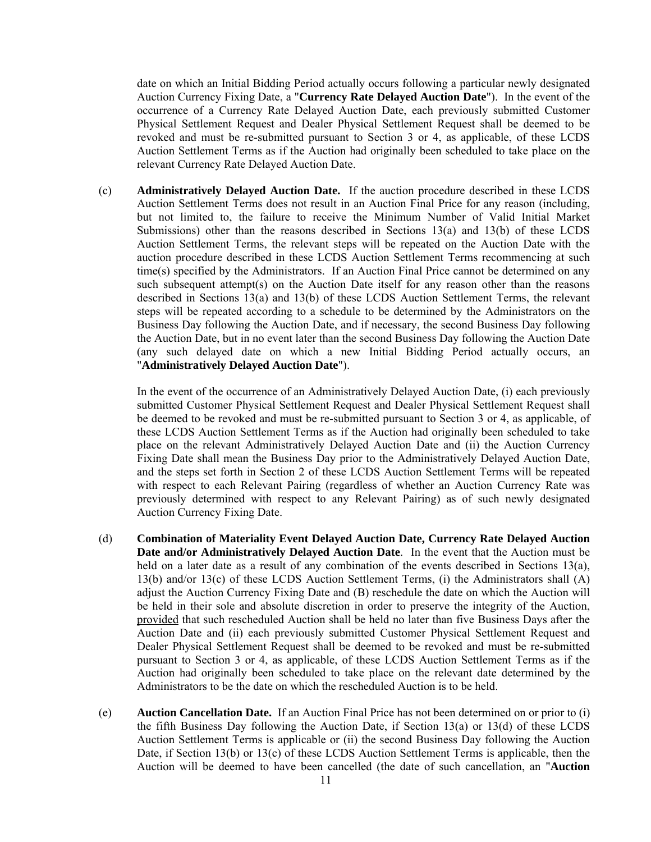date on which an Initial Bidding Period actually occurs following a particular newly designated Auction Currency Fixing Date, a "**Currency Rate Delayed Auction Date**"). In the event of the occurrence of a Currency Rate Delayed Auction Date, each previously submitted Customer Physical Settlement Request and Dealer Physical Settlement Request shall be deemed to be revoked and must be re-submitted pursuant to Section 3 or 4, as applicable, of these LCDS Auction Settlement Terms as if the Auction had originally been scheduled to take place on the relevant Currency Rate Delayed Auction Date.

(c) **Administratively Delayed Auction Date.** If the auction procedure described in these LCDS Auction Settlement Terms does not result in an Auction Final Price for any reason (including, but not limited to, the failure to receive the Minimum Number of Valid Initial Market Submissions) other than the reasons described in Sections  $13(a)$  and  $13(b)$  of these LCDS Auction Settlement Terms, the relevant steps will be repeated on the Auction Date with the auction procedure described in these LCDS Auction Settlement Terms recommencing at such time(s) specified by the Administrators. If an Auction Final Price cannot be determined on any such subsequent attempt(s) on the Auction Date itself for any reason other than the reasons described in Sections 13(a) and 13(b) of these LCDS Auction Settlement Terms, the relevant steps will be repeated according to a schedule to be determined by the Administrators on the Business Day following the Auction Date, and if necessary, the second Business Day following the Auction Date, but in no event later than the second Business Day following the Auction Date (any such delayed date on which a new Initial Bidding Period actually occurs, an "**Administratively Delayed Auction Date**").

In the event of the occurrence of an Administratively Delayed Auction Date, (i) each previously submitted Customer Physical Settlement Request and Dealer Physical Settlement Request shall be deemed to be revoked and must be re-submitted pursuant to Section 3 or 4, as applicable, of these LCDS Auction Settlement Terms as if the Auction had originally been scheduled to take place on the relevant Administratively Delayed Auction Date and (ii) the Auction Currency Fixing Date shall mean the Business Day prior to the Administratively Delayed Auction Date, and the steps set forth in Section 2 of these LCDS Auction Settlement Terms will be repeated with respect to each Relevant Pairing (regardless of whether an Auction Currency Rate was previously determined with respect to any Relevant Pairing) as of such newly designated Auction Currency Fixing Date.

- (d) **Combination of Materiality Event Delayed Auction Date, Currency Rate Delayed Auction Date and/or Administratively Delayed Auction Date**. In the event that the Auction must be held on a later date as a result of any combination of the events described in Sections 13(a), 13(b) and/or 13(c) of these LCDS Auction Settlement Terms, (i) the Administrators shall (A) adjust the Auction Currency Fixing Date and (B) reschedule the date on which the Auction will be held in their sole and absolute discretion in order to preserve the integrity of the Auction, provided that such rescheduled Auction shall be held no later than five Business Days after the Auction Date and (ii) each previously submitted Customer Physical Settlement Request and Dealer Physical Settlement Request shall be deemed to be revoked and must be re-submitted pursuant to Section 3 or 4, as applicable, of these LCDS Auction Settlement Terms as if the Auction had originally been scheduled to take place on the relevant date determined by the Administrators to be the date on which the rescheduled Auction is to be held.
- (e) **Auction Cancellation Date.** If an Auction Final Price has not been determined on or prior to (i) the fifth Business Day following the Auction Date, if Section 13(a) or 13(d) of these LCDS Auction Settlement Terms is applicable or (ii) the second Business Day following the Auction Date, if Section 13(b) or 13(c) of these LCDS Auction Settlement Terms is applicable, then the Auction will be deemed to have been cancelled (the date of such cancellation, an "**Auction**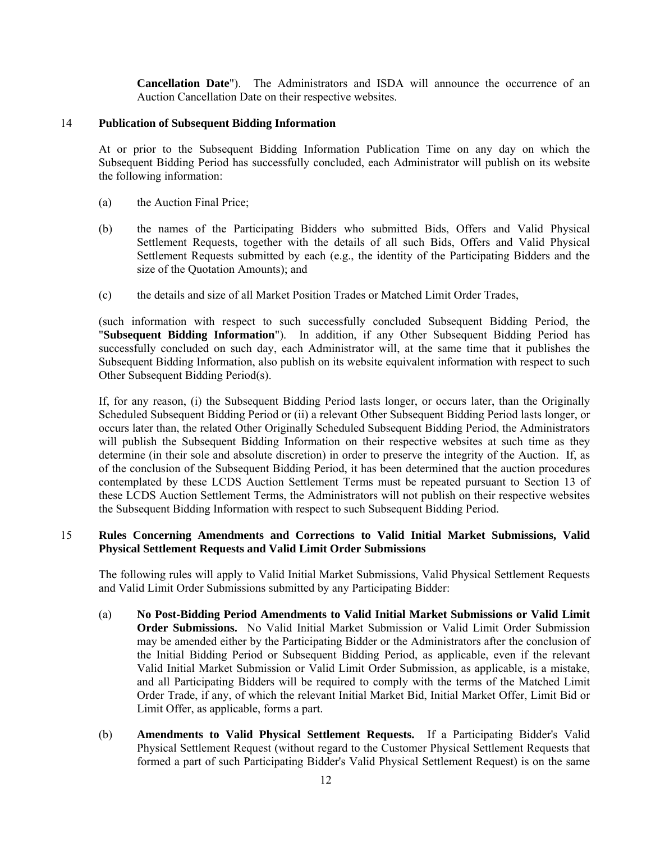**Cancellation Date**"). The Administrators and ISDA will announce the occurrence of an Auction Cancellation Date on their respective websites.

#### 14 **Publication of Subsequent Bidding Information**

At or prior to the Subsequent Bidding Information Publication Time on any day on which the Subsequent Bidding Period has successfully concluded, each Administrator will publish on its website the following information:

- (a) the Auction Final Price;
- (b) the names of the Participating Bidders who submitted Bids, Offers and Valid Physical Settlement Requests, together with the details of all such Bids, Offers and Valid Physical Settlement Requests submitted by each (e.g., the identity of the Participating Bidders and the size of the Quotation Amounts); and
- (c) the details and size of all Market Position Trades or Matched Limit Order Trades,

(such information with respect to such successfully concluded Subsequent Bidding Period, the "**Subsequent Bidding Information**"). In addition, if any Other Subsequent Bidding Period has successfully concluded on such day, each Administrator will, at the same time that it publishes the Subsequent Bidding Information, also publish on its website equivalent information with respect to such Other Subsequent Bidding Period(s).

If, for any reason, (i) the Subsequent Bidding Period lasts longer, or occurs later, than the Originally Scheduled Subsequent Bidding Period or (ii) a relevant Other Subsequent Bidding Period lasts longer, or occurs later than, the related Other Originally Scheduled Subsequent Bidding Period, the Administrators will publish the Subsequent Bidding Information on their respective websites at such time as they determine (in their sole and absolute discretion) in order to preserve the integrity of the Auction. If, as of the conclusion of the Subsequent Bidding Period, it has been determined that the auction procedures contemplated by these LCDS Auction Settlement Terms must be repeated pursuant to Section 13 of these LCDS Auction Settlement Terms, the Administrators will not publish on their respective websites the Subsequent Bidding Information with respect to such Subsequent Bidding Period.

#### 15 **Rules Concerning Amendments and Corrections to Valid Initial Market Submissions, Valid Physical Settlement Requests and Valid Limit Order Submissions**

The following rules will apply to Valid Initial Market Submissions, Valid Physical Settlement Requests and Valid Limit Order Submissions submitted by any Participating Bidder:

- (a) **No Post-Bidding Period Amendments to Valid Initial Market Submissions or Valid Limit Order Submissions.** No Valid Initial Market Submission or Valid Limit Order Submission may be amended either by the Participating Bidder or the Administrators after the conclusion of the Initial Bidding Period or Subsequent Bidding Period, as applicable, even if the relevant Valid Initial Market Submission or Valid Limit Order Submission, as applicable, is a mistake, and all Participating Bidders will be required to comply with the terms of the Matched Limit Order Trade, if any, of which the relevant Initial Market Bid, Initial Market Offer, Limit Bid or Limit Offer, as applicable, forms a part.
- (b) **Amendments to Valid Physical Settlement Requests.** If a Participating Bidder's Valid Physical Settlement Request (without regard to the Customer Physical Settlement Requests that formed a part of such Participating Bidder's Valid Physical Settlement Request) is on the same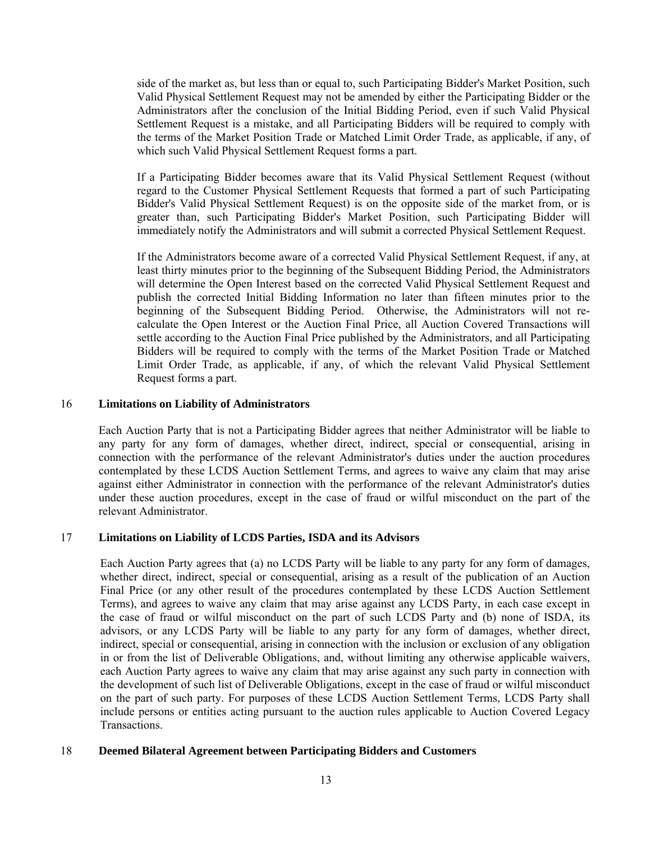side of the market as, but less than or equal to, such Participating Bidder's Market Position, such Valid Physical Settlement Request may not be amended by either the Participating Bidder or the Administrators after the conclusion of the Initial Bidding Period, even if such Valid Physical Settlement Request is a mistake, and all Participating Bidders will be required to comply with the terms of the Market Position Trade or Matched Limit Order Trade, as applicable, if any, of which such Valid Physical Settlement Request forms a part.

If a Participating Bidder becomes aware that its Valid Physical Settlement Request (without regard to the Customer Physical Settlement Requests that formed a part of such Participating Bidder's Valid Physical Settlement Request) is on the opposite side of the market from, or is greater than, such Participating Bidder's Market Position, such Participating Bidder will immediately notify the Administrators and will submit a corrected Physical Settlement Request.

If the Administrators become aware of a corrected Valid Physical Settlement Request, if any, at least thirty minutes prior to the beginning of the Subsequent Bidding Period, the Administrators will determine the Open Interest based on the corrected Valid Physical Settlement Request and publish the corrected Initial Bidding Information no later than fifteen minutes prior to the beginning of the Subsequent Bidding Period. Otherwise, the Administrators will not recalculate the Open Interest or the Auction Final Price, all Auction Covered Transactions will settle according to the Auction Final Price published by the Administrators, and all Participating Bidders will be required to comply with the terms of the Market Position Trade or Matched Limit Order Trade, as applicable, if any, of which the relevant Valid Physical Settlement Request forms a part.

#### 16 **Limitations on Liability of Administrators**

Each Auction Party that is not a Participating Bidder agrees that neither Administrator will be liable to any party for any form of damages, whether direct, indirect, special or consequential, arising in connection with the performance of the relevant Administrator's duties under the auction procedures contemplated by these LCDS Auction Settlement Terms, and agrees to waive any claim that may arise against either Administrator in connection with the performance of the relevant Administrator's duties under these auction procedures, except in the case of fraud or wilful misconduct on the part of the relevant Administrator.

#### 17 **Limitations on Liability of LCDS Parties, ISDA and its Advisors**

Each Auction Party agrees that (a) no LCDS Party will be liable to any party for any form of damages, whether direct, indirect, special or consequential, arising as a result of the publication of an Auction Final Price (or any other result of the procedures contemplated by these LCDS Auction Settlement Terms), and agrees to waive any claim that may arise against any LCDS Party, in each case except in the case of fraud or wilful misconduct on the part of such LCDS Party and (b) none of ISDA, its advisors, or any LCDS Party will be liable to any party for any form of damages, whether direct, indirect, special or consequential, arising in connection with the inclusion or exclusion of any obligation in or from the list of Deliverable Obligations, and, without limiting any otherwise applicable waivers, each Auction Party agrees to waive any claim that may arise against any such party in connection with the development of such list of Deliverable Obligations, except in the case of fraud or wilful misconduct on the part of such party. For purposes of these LCDS Auction Settlement Terms, LCDS Party shall include persons or entities acting pursuant to the auction rules applicable to Auction Covered Legacy Transactions.

#### 18 **Deemed Bilateral Agreement between Participating Bidders and Customers**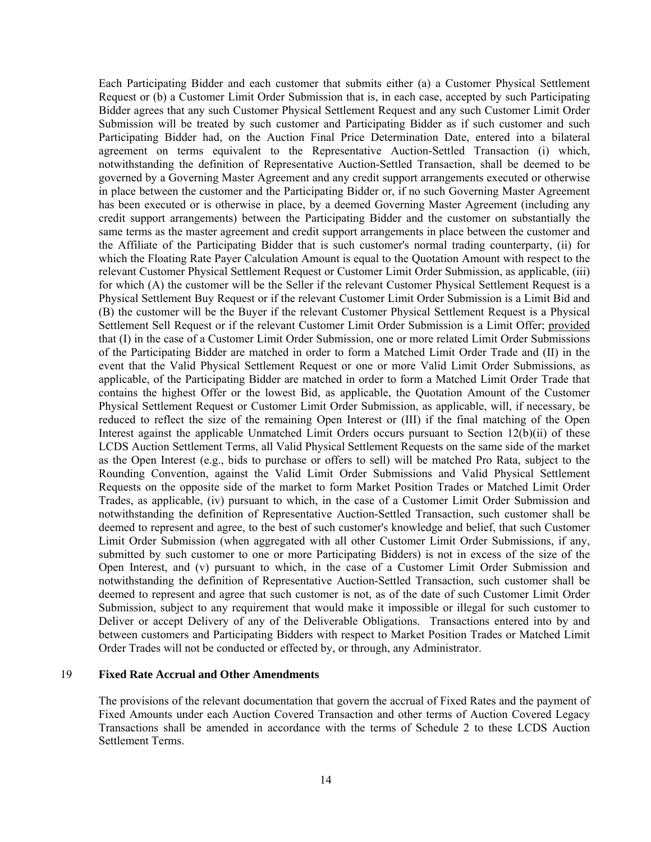Each Participating Bidder and each customer that submits either (a) a Customer Physical Settlement Request or (b) a Customer Limit Order Submission that is, in each case, accepted by such Participating Bidder agrees that any such Customer Physical Settlement Request and any such Customer Limit Order Submission will be treated by such customer and Participating Bidder as if such customer and such Participating Bidder had, on the Auction Final Price Determination Date, entered into a bilateral agreement on terms equivalent to the Representative Auction-Settled Transaction (i) which, notwithstanding the definition of Representative Auction-Settled Transaction, shall be deemed to be governed by a Governing Master Agreement and any credit support arrangements executed or otherwise in place between the customer and the Participating Bidder or, if no such Governing Master Agreement has been executed or is otherwise in place, by a deemed Governing Master Agreement (including any credit support arrangements) between the Participating Bidder and the customer on substantially the same terms as the master agreement and credit support arrangements in place between the customer and the Affiliate of the Participating Bidder that is such customer's normal trading counterparty, (ii) for which the Floating Rate Payer Calculation Amount is equal to the Quotation Amount with respect to the relevant Customer Physical Settlement Request or Customer Limit Order Submission, as applicable, (iii) for which (A) the customer will be the Seller if the relevant Customer Physical Settlement Request is a Physical Settlement Buy Request or if the relevant Customer Limit Order Submission is a Limit Bid and (B) the customer will be the Buyer if the relevant Customer Physical Settlement Request is a Physical Settlement Sell Request or if the relevant Customer Limit Order Submission is a Limit Offer; provided that (I) in the case of a Customer Limit Order Submission, one or more related Limit Order Submissions of the Participating Bidder are matched in order to form a Matched Limit Order Trade and (II) in the event that the Valid Physical Settlement Request or one or more Valid Limit Order Submissions, as applicable, of the Participating Bidder are matched in order to form a Matched Limit Order Trade that contains the highest Offer or the lowest Bid, as applicable, the Quotation Amount of the Customer Physical Settlement Request or Customer Limit Order Submission, as applicable, will, if necessary, be reduced to reflect the size of the remaining Open Interest or (III) if the final matching of the Open Interest against the applicable Unmatched Limit Orders occurs pursuant to Section 12(b)(ii) of these LCDS Auction Settlement Terms, all Valid Physical Settlement Requests on the same side of the market as the Open Interest (e.g., bids to purchase or offers to sell) will be matched Pro Rata, subject to the Rounding Convention, against the Valid Limit Order Submissions and Valid Physical Settlement Requests on the opposite side of the market to form Market Position Trades or Matched Limit Order Trades, as applicable, (iv) pursuant to which, in the case of a Customer Limit Order Submission and notwithstanding the definition of Representative Auction-Settled Transaction, such customer shall be deemed to represent and agree, to the best of such customer's knowledge and belief, that such Customer Limit Order Submission (when aggregated with all other Customer Limit Order Submissions, if any, submitted by such customer to one or more Participating Bidders) is not in excess of the size of the Open Interest, and (v) pursuant to which, in the case of a Customer Limit Order Submission and notwithstanding the definition of Representative Auction-Settled Transaction, such customer shall be deemed to represent and agree that such customer is not, as of the date of such Customer Limit Order Submission, subject to any requirement that would make it impossible or illegal for such customer to Deliver or accept Delivery of any of the Deliverable Obligations. Transactions entered into by and between customers and Participating Bidders with respect to Market Position Trades or Matched Limit Order Trades will not be conducted or effected by, or through, any Administrator.

#### 19 **Fixed Rate Accrual and Other Amendments**

The provisions of the relevant documentation that govern the accrual of Fixed Rates and the payment of Fixed Amounts under each Auction Covered Transaction and other terms of Auction Covered Legacy Transactions shall be amended in accordance with the terms of Schedule 2 to these LCDS Auction Settlement Terms.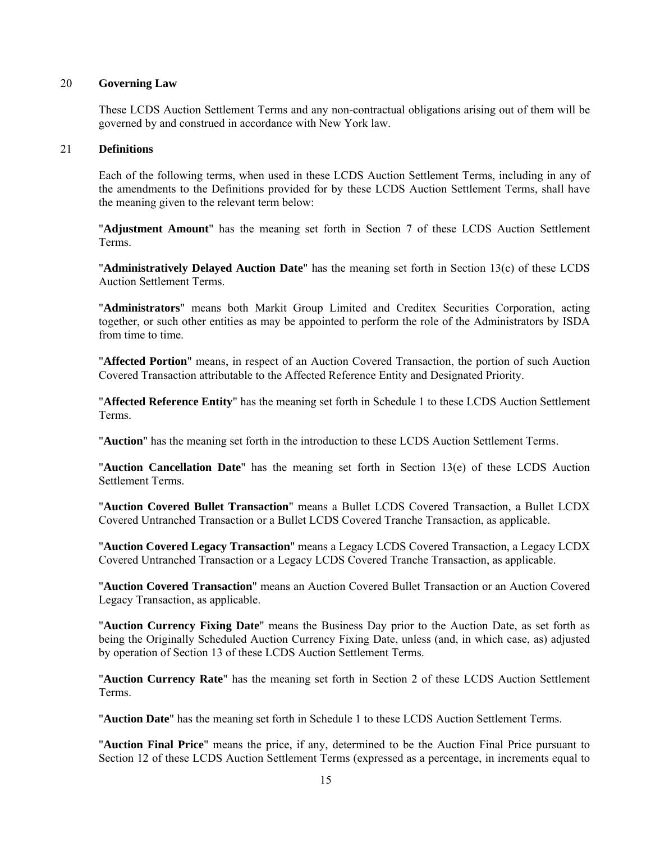#### 20 **Governing Law**

These LCDS Auction Settlement Terms and any non-contractual obligations arising out of them will be governed by and construed in accordance with New York law.

#### 21 **Definitions**

Each of the following terms, when used in these LCDS Auction Settlement Terms, including in any of the amendments to the Definitions provided for by these LCDS Auction Settlement Terms, shall have the meaning given to the relevant term below:

"**Adjustment Amount**" has the meaning set forth in Section 7 of these LCDS Auction Settlement Terms.

"**Administratively Delayed Auction Date**" has the meaning set forth in Section 13(c) of these LCDS Auction Settlement Terms.

"**Administrators**" means both Markit Group Limited and Creditex Securities Corporation, acting together, or such other entities as may be appointed to perform the role of the Administrators by ISDA from time to time.

"**Affected Portion**" means, in respect of an Auction Covered Transaction, the portion of such Auction Covered Transaction attributable to the Affected Reference Entity and Designated Priority.

"**Affected Reference Entity**" has the meaning set forth in Schedule 1 to these LCDS Auction Settlement Terms.

"**Auction**" has the meaning set forth in the introduction to these LCDS Auction Settlement Terms.

"**Auction Cancellation Date**" has the meaning set forth in Section 13(e) of these LCDS Auction Settlement Terms.

"**Auction Covered Bullet Transaction**" means a Bullet LCDS Covered Transaction, a Bullet LCDX Covered Untranched Transaction or a Bullet LCDS Covered Tranche Transaction, as applicable.

"**Auction Covered Legacy Transaction**" means a Legacy LCDS Covered Transaction, a Legacy LCDX Covered Untranched Transaction or a Legacy LCDS Covered Tranche Transaction, as applicable.

"**Auction Covered Transaction**" means an Auction Covered Bullet Transaction or an Auction Covered Legacy Transaction, as applicable.

"**Auction Currency Fixing Date**" means the Business Day prior to the Auction Date, as set forth as being the Originally Scheduled Auction Currency Fixing Date, unless (and, in which case, as) adjusted by operation of Section 13 of these LCDS Auction Settlement Terms.

"**Auction Currency Rate**" has the meaning set forth in Section 2 of these LCDS Auction Settlement Terms.

"**Auction Date**" has the meaning set forth in Schedule 1 to these LCDS Auction Settlement Terms.

"**Auction Final Price**" means the price, if any, determined to be the Auction Final Price pursuant to Section 12 of these LCDS Auction Settlement Terms (expressed as a percentage, in increments equal to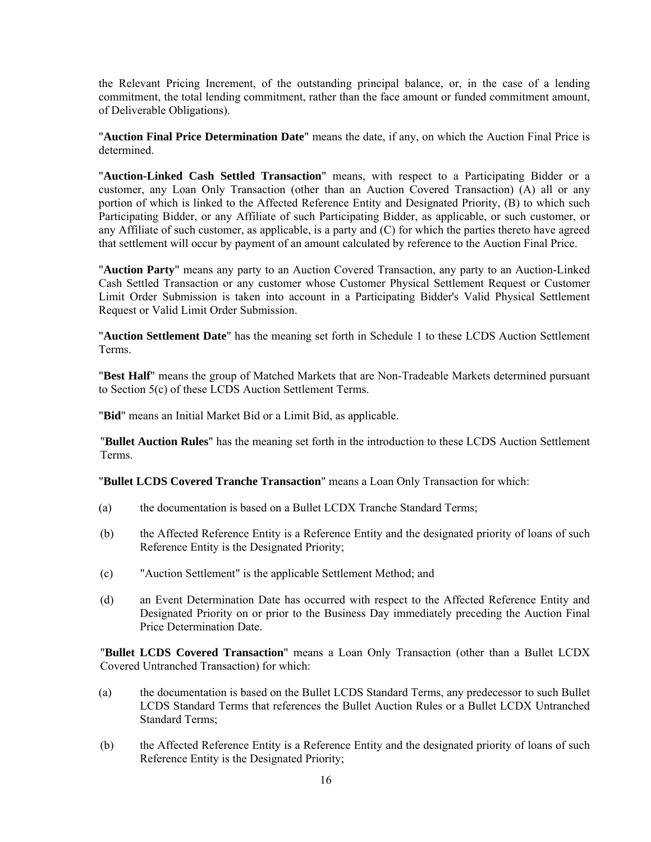the Relevant Pricing Increment, of the outstanding principal balance, or, in the case of a lending commitment, the total lending commitment, rather than the face amount or funded commitment amount, of Deliverable Obligations).

"**Auction Final Price Determination Date**" means the date, if any, on which the Auction Final Price is determined.

"**Auction-Linked Cash Settled Transaction**" means, with respect to a Participating Bidder or a customer, any Loan Only Transaction (other than an Auction Covered Transaction) (A) all or any portion of which is linked to the Affected Reference Entity and Designated Priority, (B) to which such Participating Bidder, or any Affiliate of such Participating Bidder, as applicable, or such customer, or any Affiliate of such customer, as applicable, is a party and (C) for which the parties thereto have agreed that settlement will occur by payment of an amount calculated by reference to the Auction Final Price.

"**Auction Party**" means any party to an Auction Covered Transaction, any party to an Auction-Linked Cash Settled Transaction or any customer whose Customer Physical Settlement Request or Customer Limit Order Submission is taken into account in a Participating Bidder's Valid Physical Settlement Request or Valid Limit Order Submission.

"**Auction Settlement Date**" has the meaning set forth in Schedule 1 to these LCDS Auction Settlement Terms.

"**Best Half**" means the group of Matched Markets that are Non-Tradeable Markets determined pursuant to Section 5(c) of these LCDS Auction Settlement Terms.

"**Bid**" means an Initial Market Bid or a Limit Bid, as applicable.

"**Bullet Auction Rules**" has the meaning set forth in the introduction to these LCDS Auction Settlement Terms.

"**Bullet LCDS Covered Tranche Transaction**" means a Loan Only Transaction for which:

- (a) the documentation is based on a Bullet LCDX Tranche Standard Terms;
- (b) the Affected Reference Entity is a Reference Entity and the designated priority of loans of such Reference Entity is the Designated Priority;
- (c) "Auction Settlement" is the applicable Settlement Method; and
- (d) an Event Determination Date has occurred with respect to the Affected Reference Entity and Designated Priority on or prior to the Business Day immediately preceding the Auction Final Price Determination Date.

"**Bullet LCDS Covered Transaction**" means a Loan Only Transaction (other than a Bullet LCDX Covered Untranched Transaction) for which:

- (a) the documentation is based on the Bullet LCDS Standard Terms, any predecessor to such Bullet LCDS Standard Terms that references the Bullet Auction Rules or a Bullet LCDX Untranched Standard Terms;
- (b) the Affected Reference Entity is a Reference Entity and the designated priority of loans of such Reference Entity is the Designated Priority;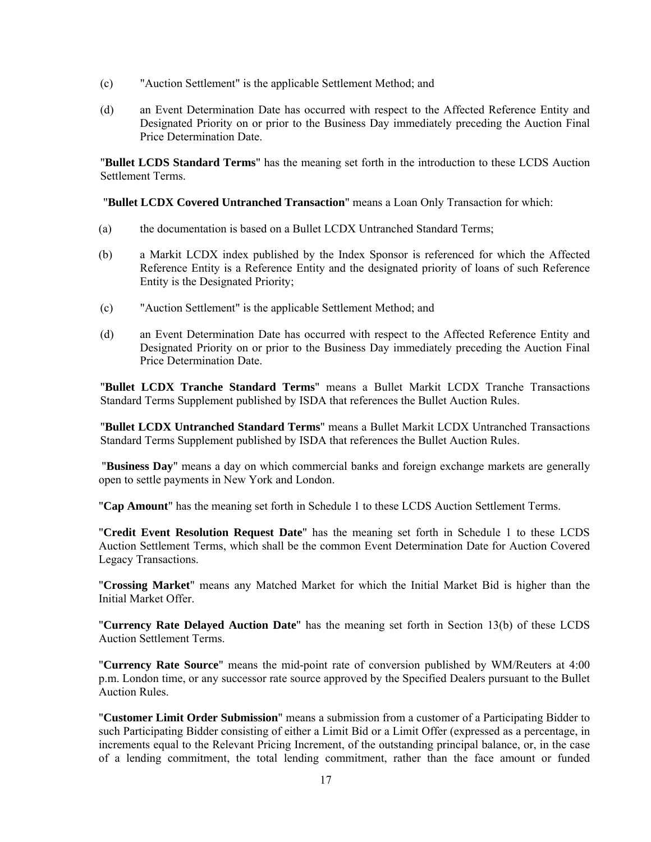- (c) "Auction Settlement" is the applicable Settlement Method; and
- (d) an Event Determination Date has occurred with respect to the Affected Reference Entity and Designated Priority on or prior to the Business Day immediately preceding the Auction Final Price Determination Date.

"**Bullet LCDS Standard Terms**" has the meaning set forth in the introduction to these LCDS Auction Settlement Terms.

"**Bullet LCDX Covered Untranched Transaction**" means a Loan Only Transaction for which:

- (a) the documentation is based on a Bullet LCDX Untranched Standard Terms;
- (b) a Markit LCDX index published by the Index Sponsor is referenced for which the Affected Reference Entity is a Reference Entity and the designated priority of loans of such Reference Entity is the Designated Priority;
- (c) "Auction Settlement" is the applicable Settlement Method; and
- (d) an Event Determination Date has occurred with respect to the Affected Reference Entity and Designated Priority on or prior to the Business Day immediately preceding the Auction Final Price Determination Date.

"**Bullet LCDX Tranche Standard Terms**" means a Bullet Markit LCDX Tranche Transactions Standard Terms Supplement published by ISDA that references the Bullet Auction Rules.

"**Bullet LCDX Untranched Standard Terms**" means a Bullet Markit LCDX Untranched Transactions Standard Terms Supplement published by ISDA that references the Bullet Auction Rules.

 "**Business Day**" means a day on which commercial banks and foreign exchange markets are generally open to settle payments in New York and London.

"**Cap Amount**" has the meaning set forth in Schedule 1 to these LCDS Auction Settlement Terms.

"**Credit Event Resolution Request Date**" has the meaning set forth in Schedule 1 to these LCDS Auction Settlement Terms, which shall be the common Event Determination Date for Auction Covered Legacy Transactions.

"**Crossing Market**" means any Matched Market for which the Initial Market Bid is higher than the Initial Market Offer.

"**Currency Rate Delayed Auction Date**" has the meaning set forth in Section 13(b) of these LCDS Auction Settlement Terms.

"**Currency Rate Source**" means the mid-point rate of conversion published by WM/Reuters at 4:00 p.m. London time, or any successor rate source approved by the Specified Dealers pursuant to the Bullet Auction Rules.

"**Customer Limit Order Submission**" means a submission from a customer of a Participating Bidder to such Participating Bidder consisting of either a Limit Bid or a Limit Offer (expressed as a percentage, in increments equal to the Relevant Pricing Increment, of the outstanding principal balance, or, in the case of a lending commitment, the total lending commitment, rather than the face amount or funded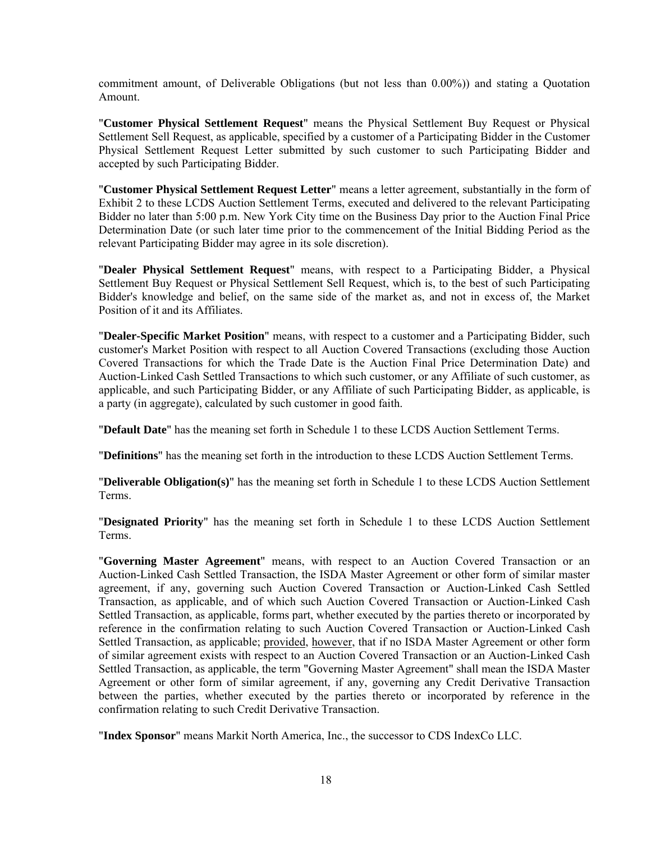commitment amount, of Deliverable Obligations (but not less than 0.00%)) and stating a Quotation Amount.

"**Customer Physical Settlement Request**" means the Physical Settlement Buy Request or Physical Settlement Sell Request, as applicable, specified by a customer of a Participating Bidder in the Customer Physical Settlement Request Letter submitted by such customer to such Participating Bidder and accepted by such Participating Bidder.

"**Customer Physical Settlement Request Letter**" means a letter agreement, substantially in the form of Exhibit 2 to these LCDS Auction Settlement Terms, executed and delivered to the relevant Participating Bidder no later than 5:00 p.m. New York City time on the Business Day prior to the Auction Final Price Determination Date (or such later time prior to the commencement of the Initial Bidding Period as the relevant Participating Bidder may agree in its sole discretion).

"**Dealer Physical Settlement Request**" means, with respect to a Participating Bidder, a Physical Settlement Buy Request or Physical Settlement Sell Request, which is, to the best of such Participating Bidder's knowledge and belief, on the same side of the market as, and not in excess of, the Market Position of it and its Affiliates.

"**Dealer-Specific Market Position**" means, with respect to a customer and a Participating Bidder, such customer's Market Position with respect to all Auction Covered Transactions (excluding those Auction Covered Transactions for which the Trade Date is the Auction Final Price Determination Date) and Auction-Linked Cash Settled Transactions to which such customer, or any Affiliate of such customer, as applicable, and such Participating Bidder, or any Affiliate of such Participating Bidder, as applicable, is a party (in aggregate), calculated by such customer in good faith.

"**Default Date**" has the meaning set forth in Schedule 1 to these LCDS Auction Settlement Terms.

"**Definitions**" has the meaning set forth in the introduction to these LCDS Auction Settlement Terms.

"**Deliverable Obligation(s)**" has the meaning set forth in Schedule 1 to these LCDS Auction Settlement Terms.

"**Designated Priority**" has the meaning set forth in Schedule 1 to these LCDS Auction Settlement Terms.

"**Governing Master Agreement**" means, with respect to an Auction Covered Transaction or an Auction-Linked Cash Settled Transaction, the ISDA Master Agreement or other form of similar master agreement, if any, governing such Auction Covered Transaction or Auction-Linked Cash Settled Transaction, as applicable, and of which such Auction Covered Transaction or Auction-Linked Cash Settled Transaction, as applicable, forms part, whether executed by the parties thereto or incorporated by reference in the confirmation relating to such Auction Covered Transaction or Auction-Linked Cash Settled Transaction, as applicable; provided, however, that if no ISDA Master Agreement or other form of similar agreement exists with respect to an Auction Covered Transaction or an Auction-Linked Cash Settled Transaction, as applicable, the term "Governing Master Agreement" shall mean the ISDA Master Agreement or other form of similar agreement, if any, governing any Credit Derivative Transaction between the parties, whether executed by the parties thereto or incorporated by reference in the confirmation relating to such Credit Derivative Transaction.

"**Index Sponsor**" means Markit North America, Inc., the successor to CDS IndexCo LLC.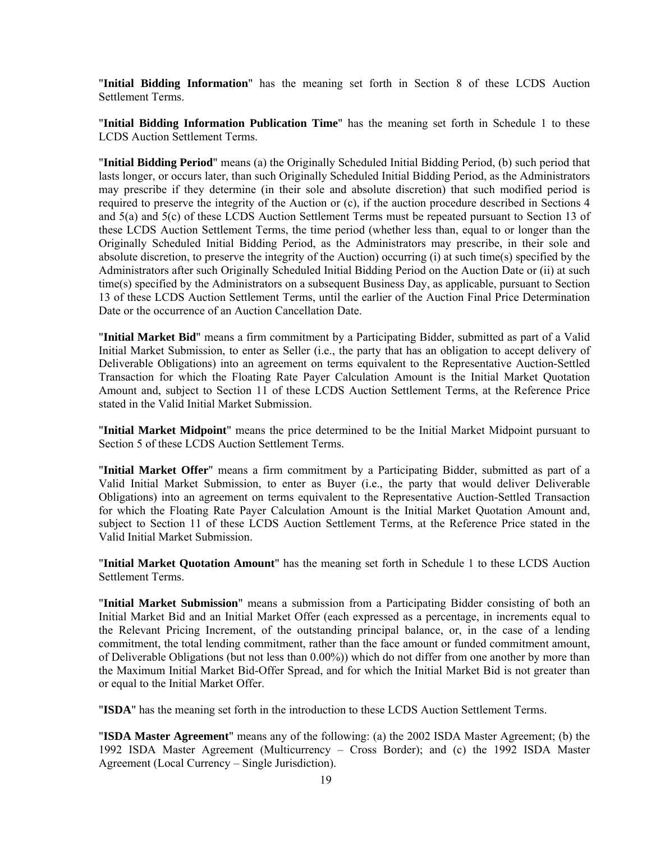"**Initial Bidding Information**" has the meaning set forth in Section 8 of these LCDS Auction Settlement Terms.

"**Initial Bidding Information Publication Time**" has the meaning set forth in Schedule 1 to these LCDS Auction Settlement Terms.

"**Initial Bidding Period**" means (a) the Originally Scheduled Initial Bidding Period, (b) such period that lasts longer, or occurs later, than such Originally Scheduled Initial Bidding Period, as the Administrators may prescribe if they determine (in their sole and absolute discretion) that such modified period is required to preserve the integrity of the Auction or (c), if the auction procedure described in Sections 4 and 5(a) and 5(c) of these LCDS Auction Settlement Terms must be repeated pursuant to Section 13 of these LCDS Auction Settlement Terms, the time period (whether less than, equal to or longer than the Originally Scheduled Initial Bidding Period, as the Administrators may prescribe, in their sole and absolute discretion, to preserve the integrity of the Auction) occurring (i) at such time(s) specified by the Administrators after such Originally Scheduled Initial Bidding Period on the Auction Date or (ii) at such time(s) specified by the Administrators on a subsequent Business Day, as applicable, pursuant to Section 13 of these LCDS Auction Settlement Terms, until the earlier of the Auction Final Price Determination Date or the occurrence of an Auction Cancellation Date.

"**Initial Market Bid**" means a firm commitment by a Participating Bidder, submitted as part of a Valid Initial Market Submission, to enter as Seller (i.e., the party that has an obligation to accept delivery of Deliverable Obligations) into an agreement on terms equivalent to the Representative Auction-Settled Transaction for which the Floating Rate Payer Calculation Amount is the Initial Market Quotation Amount and, subject to Section 11 of these LCDS Auction Settlement Terms, at the Reference Price stated in the Valid Initial Market Submission.

"**Initial Market Midpoint**" means the price determined to be the Initial Market Midpoint pursuant to Section 5 of these LCDS Auction Settlement Terms.

"**Initial Market Offer**" means a firm commitment by a Participating Bidder, submitted as part of a Valid Initial Market Submission, to enter as Buyer (i.e., the party that would deliver Deliverable Obligations) into an agreement on terms equivalent to the Representative Auction-Settled Transaction for which the Floating Rate Payer Calculation Amount is the Initial Market Quotation Amount and, subject to Section 11 of these LCDS Auction Settlement Terms, at the Reference Price stated in the Valid Initial Market Submission.

"**Initial Market Quotation Amount**" has the meaning set forth in Schedule 1 to these LCDS Auction Settlement Terms.

"**Initial Market Submission**" means a submission from a Participating Bidder consisting of both an Initial Market Bid and an Initial Market Offer (each expressed as a percentage, in increments equal to the Relevant Pricing Increment, of the outstanding principal balance, or, in the case of a lending commitment, the total lending commitment, rather than the face amount or funded commitment amount, of Deliverable Obligations (but not less than 0.00%)) which do not differ from one another by more than the Maximum Initial Market Bid-Offer Spread, and for which the Initial Market Bid is not greater than or equal to the Initial Market Offer.

"**ISDA**" has the meaning set forth in the introduction to these LCDS Auction Settlement Terms.

"**ISDA Master Agreement**" means any of the following: (a) the 2002 ISDA Master Agreement; (b) the 1992 ISDA Master Agreement (Multicurrency – Cross Border); and (c) the 1992 ISDA Master Agreement (Local Currency – Single Jurisdiction).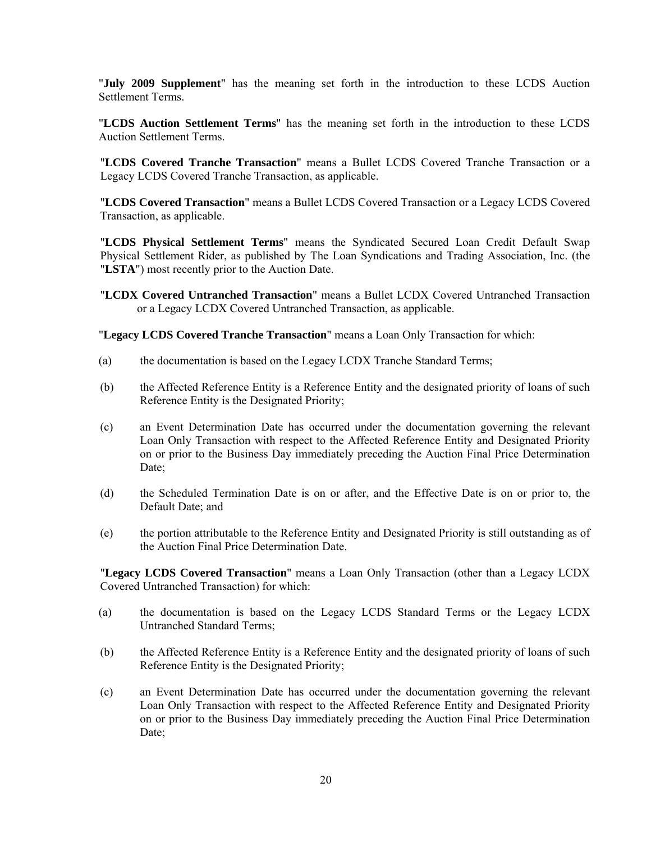"**July 2009 Supplement**" has the meaning set forth in the introduction to these LCDS Auction Settlement Terms.

"**LCDS Auction Settlement Terms**" has the meaning set forth in the introduction to these LCDS Auction Settlement Terms.

"**LCDS Covered Tranche Transaction**" means a Bullet LCDS Covered Tranche Transaction or a Legacy LCDS Covered Tranche Transaction, as applicable.

"**LCDS Covered Transaction**" means a Bullet LCDS Covered Transaction or a Legacy LCDS Covered Transaction, as applicable.

"**LCDS Physical Settlement Terms**" means the Syndicated Secured Loan Credit Default Swap Physical Settlement Rider, as published by The Loan Syndications and Trading Association, Inc. (the "**LSTA**") most recently prior to the Auction Date.

"**LCDX Covered Untranched Transaction**" means a Bullet LCDX Covered Untranched Transaction or a Legacy LCDX Covered Untranched Transaction, as applicable.

"**Legacy LCDS Covered Tranche Transaction**" means a Loan Only Transaction for which:

- (a) the documentation is based on the Legacy LCDX Tranche Standard Terms;
- (b) the Affected Reference Entity is a Reference Entity and the designated priority of loans of such Reference Entity is the Designated Priority;
- (c) an Event Determination Date has occurred under the documentation governing the relevant Loan Only Transaction with respect to the Affected Reference Entity and Designated Priority on or prior to the Business Day immediately preceding the Auction Final Price Determination Date;
- (d) the Scheduled Termination Date is on or after, and the Effective Date is on or prior to, the Default Date; and
- (e) the portion attributable to the Reference Entity and Designated Priority is still outstanding as of the Auction Final Price Determination Date.

"**Legacy LCDS Covered Transaction**" means a Loan Only Transaction (other than a Legacy LCDX Covered Untranched Transaction) for which:

- (a) the documentation is based on the Legacy LCDS Standard Terms or the Legacy LCDX Untranched Standard Terms;
- (b) the Affected Reference Entity is a Reference Entity and the designated priority of loans of such Reference Entity is the Designated Priority;
- (c) an Event Determination Date has occurred under the documentation governing the relevant Loan Only Transaction with respect to the Affected Reference Entity and Designated Priority on or prior to the Business Day immediately preceding the Auction Final Price Determination Date;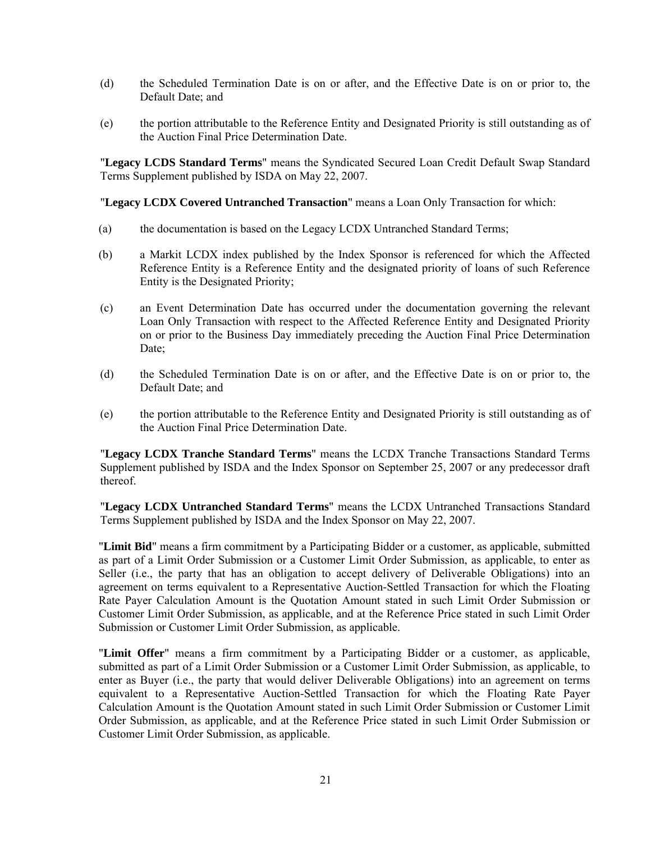- (d) the Scheduled Termination Date is on or after, and the Effective Date is on or prior to, the Default Date; and
- (e) the portion attributable to the Reference Entity and Designated Priority is still outstanding as of the Auction Final Price Determination Date.

"**Legacy LCDS Standard Terms**" means the Syndicated Secured Loan Credit Default Swap Standard Terms Supplement published by ISDA on May 22, 2007.

"**Legacy LCDX Covered Untranched Transaction**" means a Loan Only Transaction for which:

- (a) the documentation is based on the Legacy LCDX Untranched Standard Terms;
- (b) a Markit LCDX index published by the Index Sponsor is referenced for which the Affected Reference Entity is a Reference Entity and the designated priority of loans of such Reference Entity is the Designated Priority;
- (c) an Event Determination Date has occurred under the documentation governing the relevant Loan Only Transaction with respect to the Affected Reference Entity and Designated Priority on or prior to the Business Day immediately preceding the Auction Final Price Determination Date;
- (d) the Scheduled Termination Date is on or after, and the Effective Date is on or prior to, the Default Date; and
- (e) the portion attributable to the Reference Entity and Designated Priority is still outstanding as of the Auction Final Price Determination Date.

"**Legacy LCDX Tranche Standard Terms**" means the LCDX Tranche Transactions Standard Terms Supplement published by ISDA and the Index Sponsor on September 25, 2007 or any predecessor draft thereof.

"**Legacy LCDX Untranched Standard Terms**" means the LCDX Untranched Transactions Standard Terms Supplement published by ISDA and the Index Sponsor on May 22, 2007.

"**Limit Bid**" means a firm commitment by a Participating Bidder or a customer, as applicable, submitted as part of a Limit Order Submission or a Customer Limit Order Submission, as applicable, to enter as Seller (i.e., the party that has an obligation to accept delivery of Deliverable Obligations) into an agreement on terms equivalent to a Representative Auction-Settled Transaction for which the Floating Rate Payer Calculation Amount is the Quotation Amount stated in such Limit Order Submission or Customer Limit Order Submission, as applicable, and at the Reference Price stated in such Limit Order Submission or Customer Limit Order Submission, as applicable.

"**Limit Offer**" means a firm commitment by a Participating Bidder or a customer, as applicable, submitted as part of a Limit Order Submission or a Customer Limit Order Submission, as applicable, to enter as Buyer (i.e., the party that would deliver Deliverable Obligations) into an agreement on terms equivalent to a Representative Auction-Settled Transaction for which the Floating Rate Payer Calculation Amount is the Quotation Amount stated in such Limit Order Submission or Customer Limit Order Submission, as applicable, and at the Reference Price stated in such Limit Order Submission or Customer Limit Order Submission, as applicable.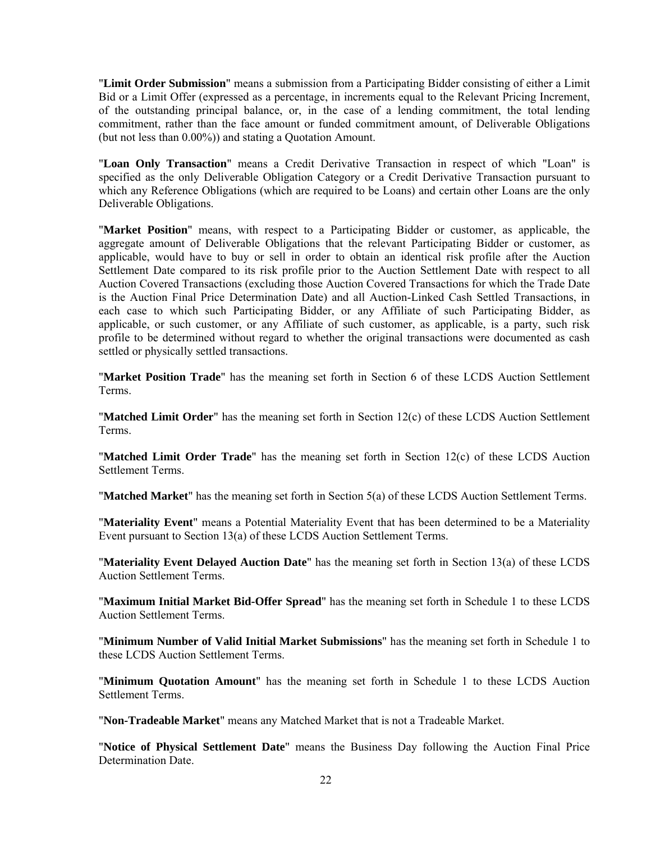"**Limit Order Submission**" means a submission from a Participating Bidder consisting of either a Limit Bid or a Limit Offer (expressed as a percentage, in increments equal to the Relevant Pricing Increment, of the outstanding principal balance, or, in the case of a lending commitment, the total lending commitment, rather than the face amount or funded commitment amount, of Deliverable Obligations (but not less than 0.00%)) and stating a Quotation Amount.

"**Loan Only Transaction**" means a Credit Derivative Transaction in respect of which "Loan" is specified as the only Deliverable Obligation Category or a Credit Derivative Transaction pursuant to which any Reference Obligations (which are required to be Loans) and certain other Loans are the only Deliverable Obligations.

"**Market Position**" means, with respect to a Participating Bidder or customer, as applicable, the aggregate amount of Deliverable Obligations that the relevant Participating Bidder or customer, as applicable, would have to buy or sell in order to obtain an identical risk profile after the Auction Settlement Date compared to its risk profile prior to the Auction Settlement Date with respect to all Auction Covered Transactions (excluding those Auction Covered Transactions for which the Trade Date is the Auction Final Price Determination Date) and all Auction-Linked Cash Settled Transactions, in each case to which such Participating Bidder, or any Affiliate of such Participating Bidder, as applicable, or such customer, or any Affiliate of such customer, as applicable, is a party, such risk profile to be determined without regard to whether the original transactions were documented as cash settled or physically settled transactions.

"**Market Position Trade**" has the meaning set forth in Section 6 of these LCDS Auction Settlement Terms.

"**Matched Limit Order**" has the meaning set forth in Section 12(c) of these LCDS Auction Settlement Terms.

"**Matched Limit Order Trade**" has the meaning set forth in Section 12(c) of these LCDS Auction Settlement Terms.

"**Matched Market**" has the meaning set forth in Section 5(a) of these LCDS Auction Settlement Terms.

"**Materiality Event**" means a Potential Materiality Event that has been determined to be a Materiality Event pursuant to Section 13(a) of these LCDS Auction Settlement Terms.

"**Materiality Event Delayed Auction Date**" has the meaning set forth in Section 13(a) of these LCDS Auction Settlement Terms.

"**Maximum Initial Market Bid-Offer Spread**" has the meaning set forth in Schedule 1 to these LCDS Auction Settlement Terms.

"**Minimum Number of Valid Initial Market Submissions**" has the meaning set forth in Schedule 1 to these LCDS Auction Settlement Terms.

"**Minimum Quotation Amount**" has the meaning set forth in Schedule 1 to these LCDS Auction Settlement Terms.

"**Non-Tradeable Market**" means any Matched Market that is not a Tradeable Market.

"**Notice of Physical Settlement Date**" means the Business Day following the Auction Final Price Determination Date.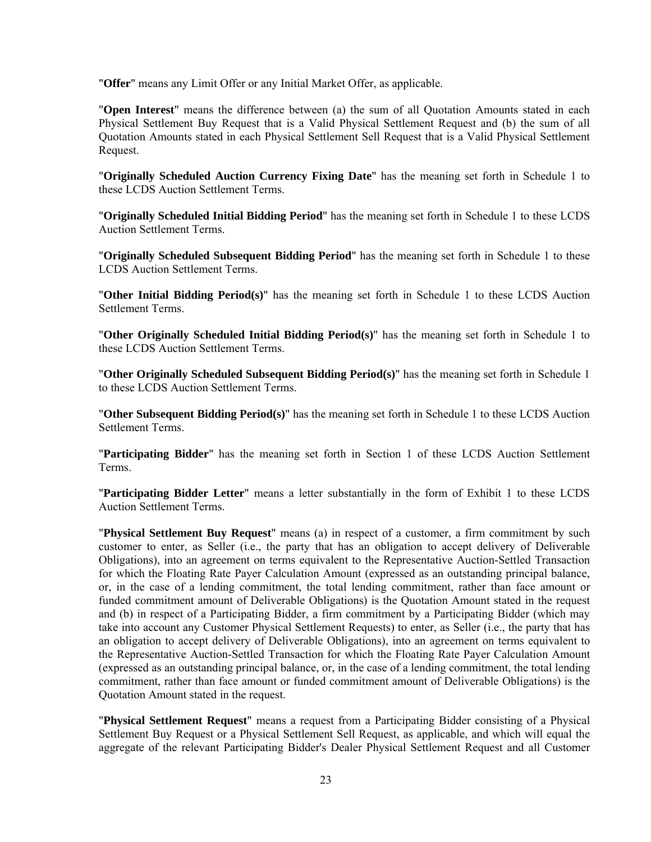"**Offer**" means any Limit Offer or any Initial Market Offer, as applicable.

"**Open Interest**" means the difference between (a) the sum of all Quotation Amounts stated in each Physical Settlement Buy Request that is a Valid Physical Settlement Request and (b) the sum of all Quotation Amounts stated in each Physical Settlement Sell Request that is a Valid Physical Settlement Request.

"**Originally Scheduled Auction Currency Fixing Date**" has the meaning set forth in Schedule 1 to these LCDS Auction Settlement Terms.

"**Originally Scheduled Initial Bidding Period**" has the meaning set forth in Schedule 1 to these LCDS Auction Settlement Terms.

"**Originally Scheduled Subsequent Bidding Period**" has the meaning set forth in Schedule 1 to these LCDS Auction Settlement Terms.

"**Other Initial Bidding Period(s)**" has the meaning set forth in Schedule 1 to these LCDS Auction Settlement Terms.

"**Other Originally Scheduled Initial Bidding Period(s)**" has the meaning set forth in Schedule 1 to these LCDS Auction Settlement Terms.

"**Other Originally Scheduled Subsequent Bidding Period(s)**" has the meaning set forth in Schedule 1 to these LCDS Auction Settlement Terms.

"**Other Subsequent Bidding Period(s)**" has the meaning set forth in Schedule 1 to these LCDS Auction Settlement Terms.

"**Participating Bidder**" has the meaning set forth in Section 1 of these LCDS Auction Settlement Terms.

"**Participating Bidder Letter**" means a letter substantially in the form of Exhibit 1 to these LCDS Auction Settlement Terms.

"**Physical Settlement Buy Request**" means (a) in respect of a customer, a firm commitment by such customer to enter, as Seller (i.e., the party that has an obligation to accept delivery of Deliverable Obligations), into an agreement on terms equivalent to the Representative Auction-Settled Transaction for which the Floating Rate Payer Calculation Amount (expressed as an outstanding principal balance, or, in the case of a lending commitment, the total lending commitment, rather than face amount or funded commitment amount of Deliverable Obligations) is the Quotation Amount stated in the request and (b) in respect of a Participating Bidder, a firm commitment by a Participating Bidder (which may take into account any Customer Physical Settlement Requests) to enter, as Seller (i.e., the party that has an obligation to accept delivery of Deliverable Obligations), into an agreement on terms equivalent to the Representative Auction-Settled Transaction for which the Floating Rate Payer Calculation Amount (expressed as an outstanding principal balance, or, in the case of a lending commitment, the total lending commitment, rather than face amount or funded commitment amount of Deliverable Obligations) is the Quotation Amount stated in the request.

"**Physical Settlement Request**" means a request from a Participating Bidder consisting of a Physical Settlement Buy Request or a Physical Settlement Sell Request, as applicable, and which will equal the aggregate of the relevant Participating Bidder's Dealer Physical Settlement Request and all Customer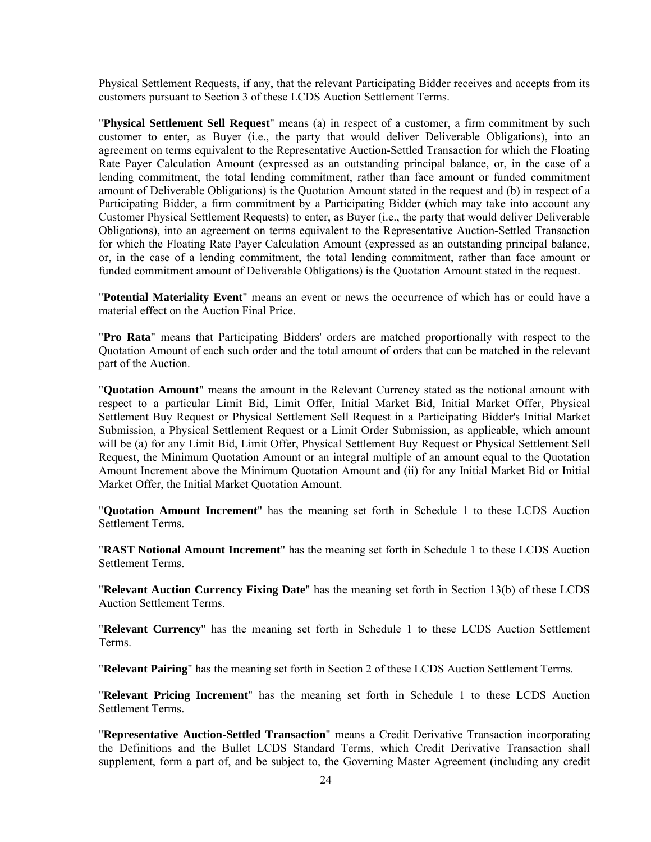Physical Settlement Requests, if any, that the relevant Participating Bidder receives and accepts from its customers pursuant to Section 3 of these LCDS Auction Settlement Terms.

"**Physical Settlement Sell Request**" means (a) in respect of a customer, a firm commitment by such customer to enter, as Buyer (i.e., the party that would deliver Deliverable Obligations), into an agreement on terms equivalent to the Representative Auction-Settled Transaction for which the Floating Rate Payer Calculation Amount (expressed as an outstanding principal balance, or, in the case of a lending commitment, the total lending commitment, rather than face amount or funded commitment amount of Deliverable Obligations) is the Quotation Amount stated in the request and (b) in respect of a Participating Bidder, a firm commitment by a Participating Bidder (which may take into account any Customer Physical Settlement Requests) to enter, as Buyer (i.e., the party that would deliver Deliverable Obligations), into an agreement on terms equivalent to the Representative Auction-Settled Transaction for which the Floating Rate Payer Calculation Amount (expressed as an outstanding principal balance, or, in the case of a lending commitment, the total lending commitment, rather than face amount or funded commitment amount of Deliverable Obligations) is the Quotation Amount stated in the request.

"**Potential Materiality Event**" means an event or news the occurrence of which has or could have a material effect on the Auction Final Price.

"**Pro Rata**" means that Participating Bidders' orders are matched proportionally with respect to the Quotation Amount of each such order and the total amount of orders that can be matched in the relevant part of the Auction.

"**Quotation Amount**" means the amount in the Relevant Currency stated as the notional amount with respect to a particular Limit Bid, Limit Offer, Initial Market Bid, Initial Market Offer, Physical Settlement Buy Request or Physical Settlement Sell Request in a Participating Bidder's Initial Market Submission, a Physical Settlement Request or a Limit Order Submission, as applicable, which amount will be (a) for any Limit Bid, Limit Offer, Physical Settlement Buy Request or Physical Settlement Sell Request, the Minimum Quotation Amount or an integral multiple of an amount equal to the Quotation Amount Increment above the Minimum Quotation Amount and (ii) for any Initial Market Bid or Initial Market Offer, the Initial Market Quotation Amount.

"**Quotation Amount Increment**" has the meaning set forth in Schedule 1 to these LCDS Auction Settlement Terms.

"**RAST Notional Amount Increment**" has the meaning set forth in Schedule 1 to these LCDS Auction Settlement Terms.

"**Relevant Auction Currency Fixing Date**" has the meaning set forth in Section 13(b) of these LCDS Auction Settlement Terms.

"**Relevant Currency**" has the meaning set forth in Schedule 1 to these LCDS Auction Settlement Terms.

"**Relevant Pairing**" has the meaning set forth in Section 2 of these LCDS Auction Settlement Terms.

"**Relevant Pricing Increment**" has the meaning set forth in Schedule 1 to these LCDS Auction Settlement Terms.

"**Representative Auction-Settled Transaction**" means a Credit Derivative Transaction incorporating the Definitions and the Bullet LCDS Standard Terms, which Credit Derivative Transaction shall supplement, form a part of, and be subject to, the Governing Master Agreement (including any credit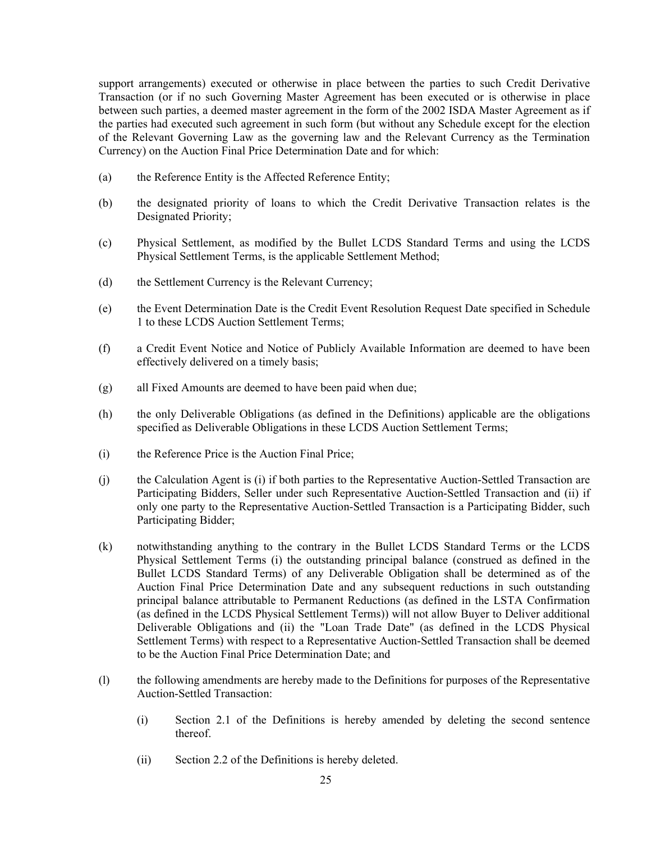support arrangements) executed or otherwise in place between the parties to such Credit Derivative Transaction (or if no such Governing Master Agreement has been executed or is otherwise in place between such parties, a deemed master agreement in the form of the 2002 ISDA Master Agreement as if the parties had executed such agreement in such form (but without any Schedule except for the election of the Relevant Governing Law as the governing law and the Relevant Currency as the Termination Currency) on the Auction Final Price Determination Date and for which:

- (a) the Reference Entity is the Affected Reference Entity;
- (b) the designated priority of loans to which the Credit Derivative Transaction relates is the Designated Priority;
- (c) Physical Settlement, as modified by the Bullet LCDS Standard Terms and using the LCDS Physical Settlement Terms, is the applicable Settlement Method;
- (d) the Settlement Currency is the Relevant Currency;
- (e) the Event Determination Date is the Credit Event Resolution Request Date specified in Schedule 1 to these LCDS Auction Settlement Terms;
- (f) a Credit Event Notice and Notice of Publicly Available Information are deemed to have been effectively delivered on a timely basis;
- (g) all Fixed Amounts are deemed to have been paid when due;
- (h) the only Deliverable Obligations (as defined in the Definitions) applicable are the obligations specified as Deliverable Obligations in these LCDS Auction Settlement Terms;
- (i) the Reference Price is the Auction Final Price;
- (j) the Calculation Agent is (i) if both parties to the Representative Auction-Settled Transaction are Participating Bidders, Seller under such Representative Auction-Settled Transaction and (ii) if only one party to the Representative Auction-Settled Transaction is a Participating Bidder, such Participating Bidder;
- (k) notwithstanding anything to the contrary in the Bullet LCDS Standard Terms or the LCDS Physical Settlement Terms (i) the outstanding principal balance (construed as defined in the Bullet LCDS Standard Terms) of any Deliverable Obligation shall be determined as of the Auction Final Price Determination Date and any subsequent reductions in such outstanding principal balance attributable to Permanent Reductions (as defined in the LSTA Confirmation (as defined in the LCDS Physical Settlement Terms)) will not allow Buyer to Deliver additional Deliverable Obligations and (ii) the "Loan Trade Date" (as defined in the LCDS Physical Settlement Terms) with respect to a Representative Auction-Settled Transaction shall be deemed to be the Auction Final Price Determination Date; and
- (l) the following amendments are hereby made to the Definitions for purposes of the Representative Auction-Settled Transaction:
	- (i) Section 2.1 of the Definitions is hereby amended by deleting the second sentence thereof.
	- (ii) Section 2.2 of the Definitions is hereby deleted.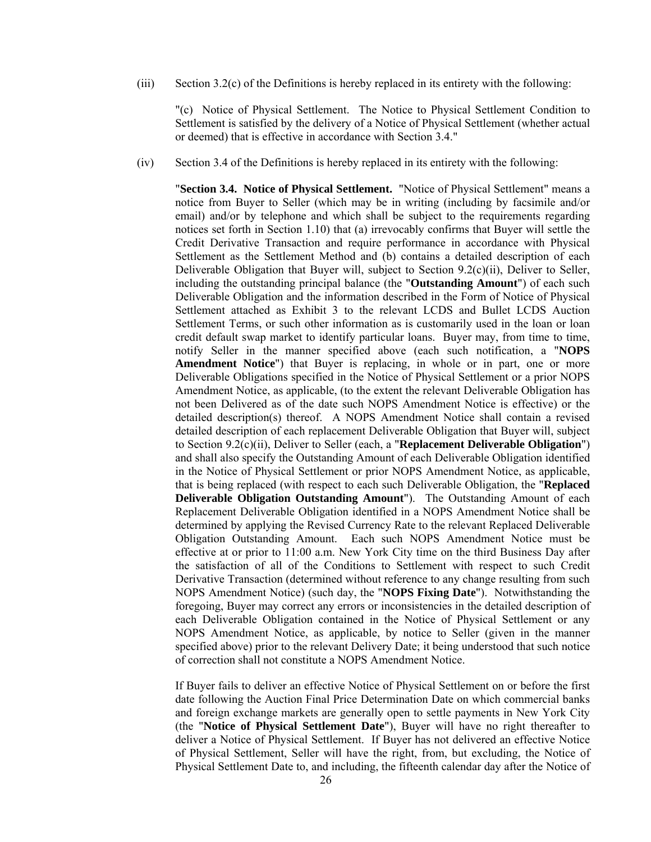(iii) Section 3.2(c) of the Definitions is hereby replaced in its entirety with the following:

"(c) Notice of Physical Settlement. The Notice to Physical Settlement Condition to Settlement is satisfied by the delivery of a Notice of Physical Settlement (whether actual or deemed) that is effective in accordance with Section 3.4."

(iv) Section 3.4 of the Definitions is hereby replaced in its entirety with the following:

"**Section 3.4. Notice of Physical Settlement.** "Notice of Physical Settlement" means a notice from Buyer to Seller (which may be in writing (including by facsimile and/or email) and/or by telephone and which shall be subject to the requirements regarding notices set forth in Section 1.10) that (a) irrevocably confirms that Buyer will settle the Credit Derivative Transaction and require performance in accordance with Physical Settlement as the Settlement Method and (b) contains a detailed description of each Deliverable Obligation that Buyer will, subject to Section  $9.2(c)(ii)$ , Deliver to Seller, including the outstanding principal balance (the "**Outstanding Amount**") of each such Deliverable Obligation and the information described in the Form of Notice of Physical Settlement attached as Exhibit 3 to the relevant LCDS and Bullet LCDS Auction Settlement Terms, or such other information as is customarily used in the loan or loan credit default swap market to identify particular loans. Buyer may, from time to time, notify Seller in the manner specified above (each such notification, a "**NOPS Amendment Notice**") that Buyer is replacing, in whole or in part, one or more Deliverable Obligations specified in the Notice of Physical Settlement or a prior NOPS Amendment Notice, as applicable, (to the extent the relevant Deliverable Obligation has not been Delivered as of the date such NOPS Amendment Notice is effective) or the detailed description(s) thereof. A NOPS Amendment Notice shall contain a revised detailed description of each replacement Deliverable Obligation that Buyer will, subject to Section 9.2(c)(ii), Deliver to Seller (each, a "**Replacement Deliverable Obligation**") and shall also specify the Outstanding Amount of each Deliverable Obligation identified in the Notice of Physical Settlement or prior NOPS Amendment Notice, as applicable, that is being replaced (with respect to each such Deliverable Obligation, the "**Replaced Deliverable Obligation Outstanding Amount**"). The Outstanding Amount of each Replacement Deliverable Obligation identified in a NOPS Amendment Notice shall be determined by applying the Revised Currency Rate to the relevant Replaced Deliverable Obligation Outstanding Amount. Each such NOPS Amendment Notice must be effective at or prior to 11:00 a.m. New York City time on the third Business Day after the satisfaction of all of the Conditions to Settlement with respect to such Credit Derivative Transaction (determined without reference to any change resulting from such NOPS Amendment Notice) (such day, the "**NOPS Fixing Date**"). Notwithstanding the foregoing, Buyer may correct any errors or inconsistencies in the detailed description of each Deliverable Obligation contained in the Notice of Physical Settlement or any NOPS Amendment Notice, as applicable, by notice to Seller (given in the manner specified above) prior to the relevant Delivery Date; it being understood that such notice of correction shall not constitute a NOPS Amendment Notice.

If Buyer fails to deliver an effective Notice of Physical Settlement on or before the first date following the Auction Final Price Determination Date on which commercial banks and foreign exchange markets are generally open to settle payments in New York City (the "**Notice of Physical Settlement Date**"), Buyer will have no right thereafter to deliver a Notice of Physical Settlement. If Buyer has not delivered an effective Notice of Physical Settlement, Seller will have the right, from, but excluding, the Notice of Physical Settlement Date to, and including, the fifteenth calendar day after the Notice of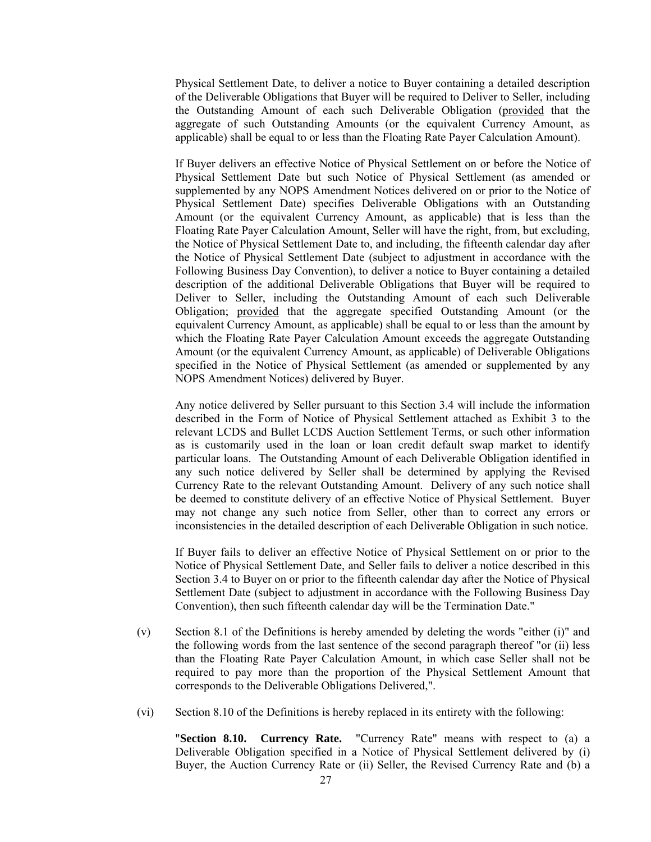Physical Settlement Date, to deliver a notice to Buyer containing a detailed description of the Deliverable Obligations that Buyer will be required to Deliver to Seller, including the Outstanding Amount of each such Deliverable Obligation (provided that the aggregate of such Outstanding Amounts (or the equivalent Currency Amount, as applicable) shall be equal to or less than the Floating Rate Payer Calculation Amount).

If Buyer delivers an effective Notice of Physical Settlement on or before the Notice of Physical Settlement Date but such Notice of Physical Settlement (as amended or supplemented by any NOPS Amendment Notices delivered on or prior to the Notice of Physical Settlement Date) specifies Deliverable Obligations with an Outstanding Amount (or the equivalent Currency Amount, as applicable) that is less than the Floating Rate Payer Calculation Amount, Seller will have the right, from, but excluding, the Notice of Physical Settlement Date to, and including, the fifteenth calendar day after the Notice of Physical Settlement Date (subject to adjustment in accordance with the Following Business Day Convention), to deliver a notice to Buyer containing a detailed description of the additional Deliverable Obligations that Buyer will be required to Deliver to Seller, including the Outstanding Amount of each such Deliverable Obligation; provided that the aggregate specified Outstanding Amount (or the equivalent Currency Amount, as applicable) shall be equal to or less than the amount by which the Floating Rate Payer Calculation Amount exceeds the aggregate Outstanding Amount (or the equivalent Currency Amount, as applicable) of Deliverable Obligations specified in the Notice of Physical Settlement (as amended or supplemented by any NOPS Amendment Notices) delivered by Buyer.

Any notice delivered by Seller pursuant to this Section 3.4 will include the information described in the Form of Notice of Physical Settlement attached as Exhibit 3 to the relevant LCDS and Bullet LCDS Auction Settlement Terms, or such other information as is customarily used in the loan or loan credit default swap market to identify particular loans. The Outstanding Amount of each Deliverable Obligation identified in any such notice delivered by Seller shall be determined by applying the Revised Currency Rate to the relevant Outstanding Amount. Delivery of any such notice shall be deemed to constitute delivery of an effective Notice of Physical Settlement. Buyer may not change any such notice from Seller, other than to correct any errors or inconsistencies in the detailed description of each Deliverable Obligation in such notice.

If Buyer fails to deliver an effective Notice of Physical Settlement on or prior to the Notice of Physical Settlement Date, and Seller fails to deliver a notice described in this Section 3.4 to Buyer on or prior to the fifteenth calendar day after the Notice of Physical Settlement Date (subject to adjustment in accordance with the Following Business Day Convention), then such fifteenth calendar day will be the Termination Date."

- (v) Section 8.1 of the Definitions is hereby amended by deleting the words "either (i)" and the following words from the last sentence of the second paragraph thereof "or (ii) less than the Floating Rate Payer Calculation Amount, in which case Seller shall not be required to pay more than the proportion of the Physical Settlement Amount that corresponds to the Deliverable Obligations Delivered,".
- (vi) Section 8.10 of the Definitions is hereby replaced in its entirety with the following:

"**Section 8.10. Currency Rate.** "Currency Rate" means with respect to (a) a Deliverable Obligation specified in a Notice of Physical Settlement delivered by (i) Buyer, the Auction Currency Rate or (ii) Seller, the Revised Currency Rate and (b) a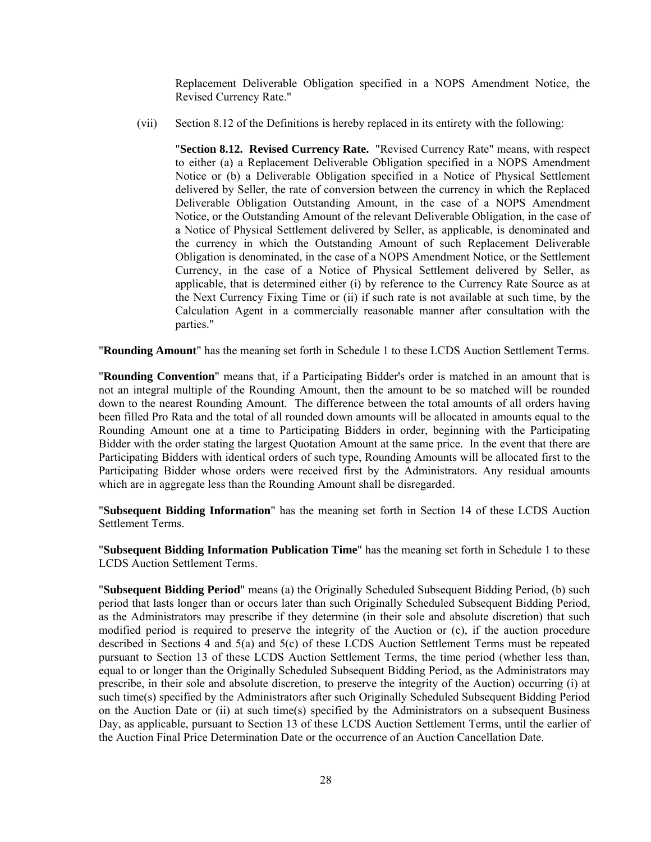Replacement Deliverable Obligation specified in a NOPS Amendment Notice, the Revised Currency Rate."

(vii) Section 8.12 of the Definitions is hereby replaced in its entirety with the following:

"**Section 8.12. Revised Currency Rate.** "Revised Currency Rate" means, with respect to either (a) a Replacement Deliverable Obligation specified in a NOPS Amendment Notice or (b) a Deliverable Obligation specified in a Notice of Physical Settlement delivered by Seller, the rate of conversion between the currency in which the Replaced Deliverable Obligation Outstanding Amount, in the case of a NOPS Amendment Notice, or the Outstanding Amount of the relevant Deliverable Obligation, in the case of a Notice of Physical Settlement delivered by Seller, as applicable, is denominated and the currency in which the Outstanding Amount of such Replacement Deliverable Obligation is denominated, in the case of a NOPS Amendment Notice, or the Settlement Currency, in the case of a Notice of Physical Settlement delivered by Seller, as applicable, that is determined either (i) by reference to the Currency Rate Source as at the Next Currency Fixing Time or (ii) if such rate is not available at such time, by the Calculation Agent in a commercially reasonable manner after consultation with the parties."

"**Rounding Amount**" has the meaning set forth in Schedule 1 to these LCDS Auction Settlement Terms.

"**Rounding Convention**" means that, if a Participating Bidder's order is matched in an amount that is not an integral multiple of the Rounding Amount, then the amount to be so matched will be rounded down to the nearest Rounding Amount. The difference between the total amounts of all orders having been filled Pro Rata and the total of all rounded down amounts will be allocated in amounts equal to the Rounding Amount one at a time to Participating Bidders in order, beginning with the Participating Bidder with the order stating the largest Quotation Amount at the same price. In the event that there are Participating Bidders with identical orders of such type, Rounding Amounts will be allocated first to the Participating Bidder whose orders were received first by the Administrators. Any residual amounts which are in aggregate less than the Rounding Amount shall be disregarded.

"**Subsequent Bidding Information**" has the meaning set forth in Section 14 of these LCDS Auction Settlement Terms.

"**Subsequent Bidding Information Publication Time**" has the meaning set forth in Schedule 1 to these LCDS Auction Settlement Terms.

"**Subsequent Bidding Period**" means (a) the Originally Scheduled Subsequent Bidding Period, (b) such period that lasts longer than or occurs later than such Originally Scheduled Subsequent Bidding Period, as the Administrators may prescribe if they determine (in their sole and absolute discretion) that such modified period is required to preserve the integrity of the Auction or (c), if the auction procedure described in Sections 4 and 5(a) and 5(c) of these LCDS Auction Settlement Terms must be repeated pursuant to Section 13 of these LCDS Auction Settlement Terms, the time period (whether less than, equal to or longer than the Originally Scheduled Subsequent Bidding Period, as the Administrators may prescribe, in their sole and absolute discretion, to preserve the integrity of the Auction) occurring (i) at such time(s) specified by the Administrators after such Originally Scheduled Subsequent Bidding Period on the Auction Date or (ii) at such time(s) specified by the Administrators on a subsequent Business Day, as applicable, pursuant to Section 13 of these LCDS Auction Settlement Terms, until the earlier of the Auction Final Price Determination Date or the occurrence of an Auction Cancellation Date.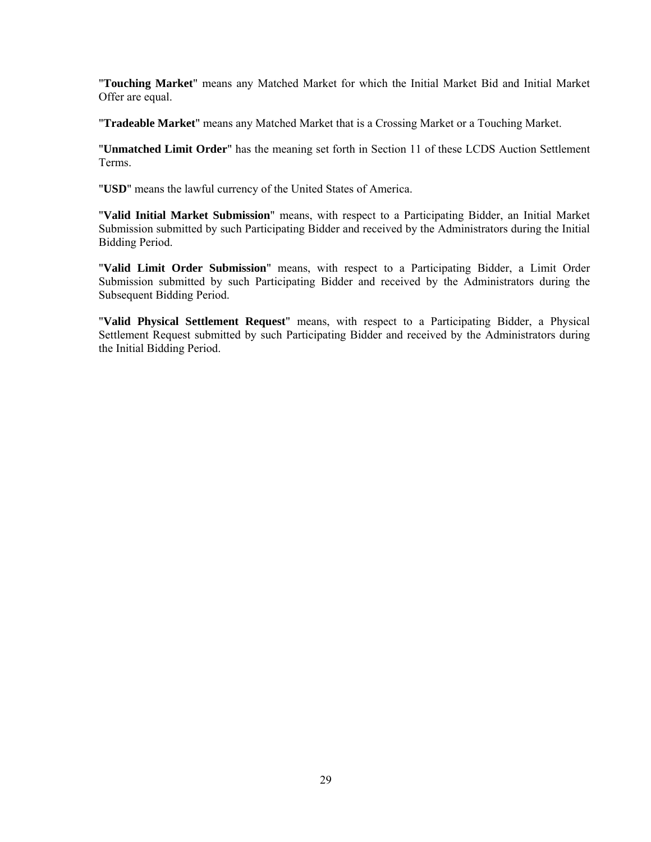"**Touching Market**" means any Matched Market for which the Initial Market Bid and Initial Market Offer are equal.

"**Tradeable Market**" means any Matched Market that is a Crossing Market or a Touching Market.

"**Unmatched Limit Order**" has the meaning set forth in Section 11 of these LCDS Auction Settlement Terms.

"**USD**" means the lawful currency of the United States of America.

"**Valid Initial Market Submission**" means, with respect to a Participating Bidder, an Initial Market Submission submitted by such Participating Bidder and received by the Administrators during the Initial Bidding Period.

"**Valid Limit Order Submission**" means, with respect to a Participating Bidder, a Limit Order Submission submitted by such Participating Bidder and received by the Administrators during the Subsequent Bidding Period.

"**Valid Physical Settlement Request**" means, with respect to a Participating Bidder, a Physical Settlement Request submitted by such Participating Bidder and received by the Administrators during the Initial Bidding Period.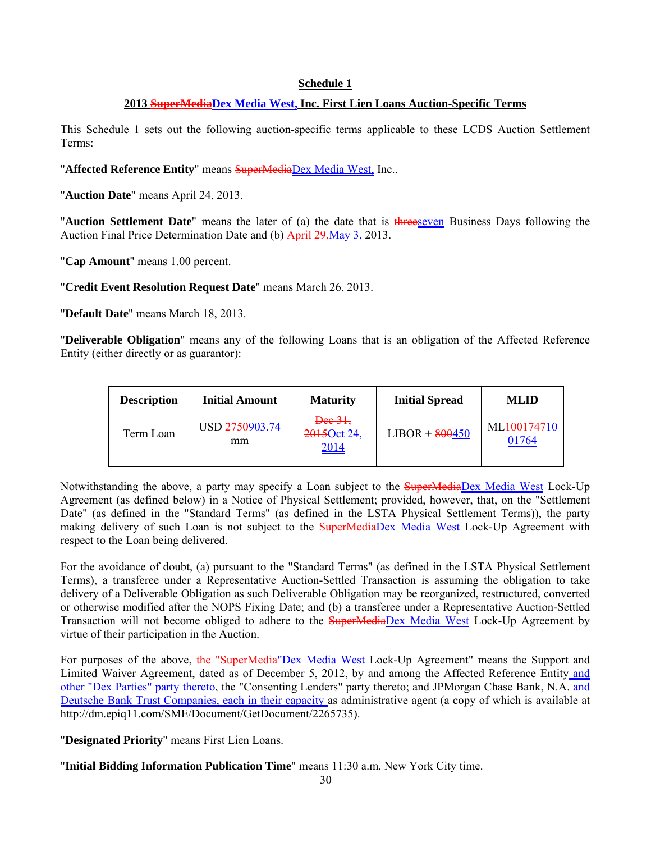#### **Schedule 1**

#### **2013 SuperMediaDex Media West, Inc. First Lien Loans Auction-Specific Terms**

This Schedule 1 sets out the following auction-specific terms applicable to these LCDS Auction Settlement Terms:

"Affected Reference Entity" means SuperMediaDex Media West, Inc..

"**Auction Date**" means April 24, 2013.

"**Auction Settlement Date**" means the later of (a) the date that is threeseven Business Days following the Auction Final Price Determination Date and (b) April 29, May 3, 2013.

"**Cap Amount**" means 1.00 percent.

"**Credit Event Resolution Request Date**" means March 26, 2013.

"**Default Date**" means March 18, 2013.

"**Deliverable Obligation**" means any of the following Loans that is an obligation of the Affected Reference Entity (either directly or as guarantor):

| <b>Description</b> | <b>Initial Amount</b> | <b>Maturity</b>                       | <b>Initial Spread</b> | <b>MLID</b>                       |
|--------------------|-----------------------|---------------------------------------|-----------------------|-----------------------------------|
| Term Loan          | USD 2750903.74<br>mm  | $\frac{1}{2}$<br>2015 Oct 24,<br>2014 | $LIBOR + 800450$      | ML <del>1001747</del> 10<br>01764 |

Notwithstanding the above, a party may specify a Loan subject to the SuperMediaDex Media West Lock-Up Agreement (as defined below) in a Notice of Physical Settlement; provided, however, that, on the "Settlement Date" (as defined in the "Standard Terms" (as defined in the LSTA Physical Settlement Terms)), the party making delivery of such Loan is not subject to the **SuperMediaDex Media West Lock-Up Agreement** with respect to the Loan being delivered.

For the avoidance of doubt, (a) pursuant to the "Standard Terms" (as defined in the LSTA Physical Settlement Terms), a transferee under a Representative Auction-Settled Transaction is assuming the obligation to take delivery of a Deliverable Obligation as such Deliverable Obligation may be reorganized, restructured, converted or otherwise modified after the NOPS Fixing Date; and (b) a transferee under a Representative Auction-Settled Transaction will not become obliged to adhere to the **SuperMediaDex Media West Lock-Up Agreement** by virtue of their participation in the Auction.

For purposes of the above, the "SuperMedia"Dex Media West Lock-Up Agreement" means the Support and Limited Waiver Agreement, dated as of December 5, 2012, by and among the Affected Reference Entity and other "Dex Parties" party thereto, the "Consenting Lenders" party thereto; and JPMorgan Chase Bank, N.A. and Deutsche Bank Trust Companies, each in their capacity as administrative agent (a copy of which is available at http://dm.epiq11.com/SME/Document/GetDocument/2265735).

"**Designated Priority**" means First Lien Loans.

"**Initial Bidding Information Publication Time**" means 11:30 a.m. New York City time.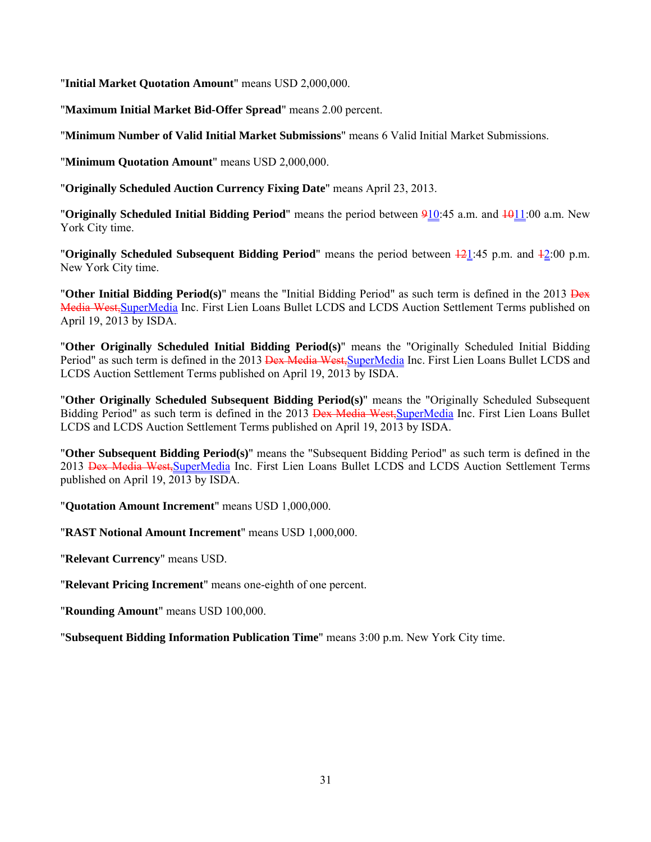"**Initial Market Quotation Amount**" means USD 2,000,000.

"**Maximum Initial Market Bid-Offer Spread**" means 2.00 percent.

"**Minimum Number of Valid Initial Market Submissions**" means 6 Valid Initial Market Submissions.

"**Minimum Quotation Amount**" means USD 2,000,000.

"**Originally Scheduled Auction Currency Fixing Date**" means April 23, 2013.

**"Originally Scheduled Initial Bidding Period**" means the period between 910:45 a.m. and 4011:00 a.m. New York City time.

"**Originally Scheduled Subsequent Bidding Period**" means the period between 121:45 p.m. and 12:00 p.m. New York City time.

"**Other Initial Bidding Period(s)**" means the "Initial Bidding Period" as such term is defined in the 2013 Dex Media West, SuperMedia Inc. First Lien Loans Bullet LCDS and LCDS Auction Settlement Terms published on April 19, 2013 by ISDA.

"**Other Originally Scheduled Initial Bidding Period(s)**" means the "Originally Scheduled Initial Bidding Period" as such term is defined in the 2013 Dex Media West, SuperMedia Inc. First Lien Loans Bullet LCDS and LCDS Auction Settlement Terms published on April 19, 2013 by ISDA.

"**Other Originally Scheduled Subsequent Bidding Period(s)**" means the "Originally Scheduled Subsequent Bidding Period" as such term is defined in the 2013 <del>Dex Media West,</del>SuperMedia Inc. First Lien Loans Bullet LCDS and LCDS Auction Settlement Terms published on April 19, 2013 by ISDA.

"**Other Subsequent Bidding Period(s)**" means the "Subsequent Bidding Period" as such term is defined in the 2013 <del>Dex Media West, SuperMedia</del> Inc. First Lien Loans Bullet LCDS and LCDS Auction Settlement Terms published on April 19, 2013 by ISDA.

"**Quotation Amount Increment**" means USD 1,000,000.

"**RAST Notional Amount Increment**" means USD 1,000,000.

"**Relevant Currency**" means USD.

"**Relevant Pricing Increment**" means one-eighth of one percent.

"**Rounding Amount**" means USD 100,000.

"**Subsequent Bidding Information Publication Time**" means 3:00 p.m. New York City time.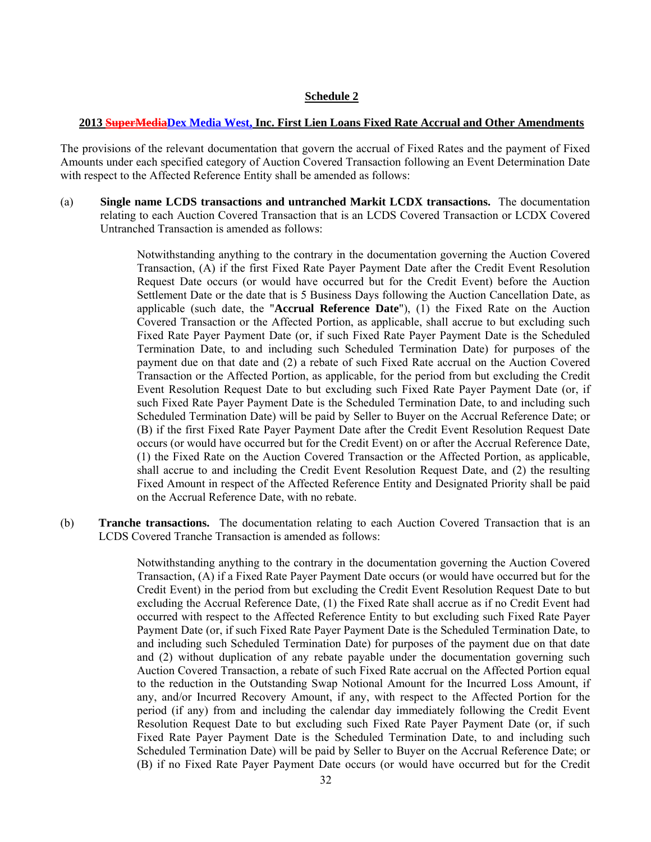#### **Schedule 2**

#### **2013 SuperMediaDex Media West, Inc. First Lien Loans Fixed Rate Accrual and Other Amendments**

The provisions of the relevant documentation that govern the accrual of Fixed Rates and the payment of Fixed Amounts under each specified category of Auction Covered Transaction following an Event Determination Date with respect to the Affected Reference Entity shall be amended as follows:

(a) **Single name LCDS transactions and untranched Markit LCDX transactions.** The documentation relating to each Auction Covered Transaction that is an LCDS Covered Transaction or LCDX Covered Untranched Transaction is amended as follows:

> Notwithstanding anything to the contrary in the documentation governing the Auction Covered Transaction, (A) if the first Fixed Rate Payer Payment Date after the Credit Event Resolution Request Date occurs (or would have occurred but for the Credit Event) before the Auction Settlement Date or the date that is 5 Business Days following the Auction Cancellation Date, as applicable (such date, the "**Accrual Reference Date**"), (1) the Fixed Rate on the Auction Covered Transaction or the Affected Portion, as applicable, shall accrue to but excluding such Fixed Rate Payer Payment Date (or, if such Fixed Rate Payer Payment Date is the Scheduled Termination Date, to and including such Scheduled Termination Date) for purposes of the payment due on that date and (2) a rebate of such Fixed Rate accrual on the Auction Covered Transaction or the Affected Portion, as applicable, for the period from but excluding the Credit Event Resolution Request Date to but excluding such Fixed Rate Payer Payment Date (or, if such Fixed Rate Payer Payment Date is the Scheduled Termination Date, to and including such Scheduled Termination Date) will be paid by Seller to Buyer on the Accrual Reference Date; or (B) if the first Fixed Rate Payer Payment Date after the Credit Event Resolution Request Date occurs (or would have occurred but for the Credit Event) on or after the Accrual Reference Date, (1) the Fixed Rate on the Auction Covered Transaction or the Affected Portion, as applicable, shall accrue to and including the Credit Event Resolution Request Date, and (2) the resulting Fixed Amount in respect of the Affected Reference Entity and Designated Priority shall be paid on the Accrual Reference Date, with no rebate.

(b) **Tranche transactions.** The documentation relating to each Auction Covered Transaction that is an LCDS Covered Tranche Transaction is amended as follows:

> Notwithstanding anything to the contrary in the documentation governing the Auction Covered Transaction, (A) if a Fixed Rate Payer Payment Date occurs (or would have occurred but for the Credit Event) in the period from but excluding the Credit Event Resolution Request Date to but excluding the Accrual Reference Date, (1) the Fixed Rate shall accrue as if no Credit Event had occurred with respect to the Affected Reference Entity to but excluding such Fixed Rate Payer Payment Date (or, if such Fixed Rate Payer Payment Date is the Scheduled Termination Date, to and including such Scheduled Termination Date) for purposes of the payment due on that date and (2) without duplication of any rebate payable under the documentation governing such Auction Covered Transaction, a rebate of such Fixed Rate accrual on the Affected Portion equal to the reduction in the Outstanding Swap Notional Amount for the Incurred Loss Amount, if any, and/or Incurred Recovery Amount, if any, with respect to the Affected Portion for the period (if any) from and including the calendar day immediately following the Credit Event Resolution Request Date to but excluding such Fixed Rate Payer Payment Date (or, if such Fixed Rate Payer Payment Date is the Scheduled Termination Date, to and including such Scheduled Termination Date) will be paid by Seller to Buyer on the Accrual Reference Date; or (B) if no Fixed Rate Payer Payment Date occurs (or would have occurred but for the Credit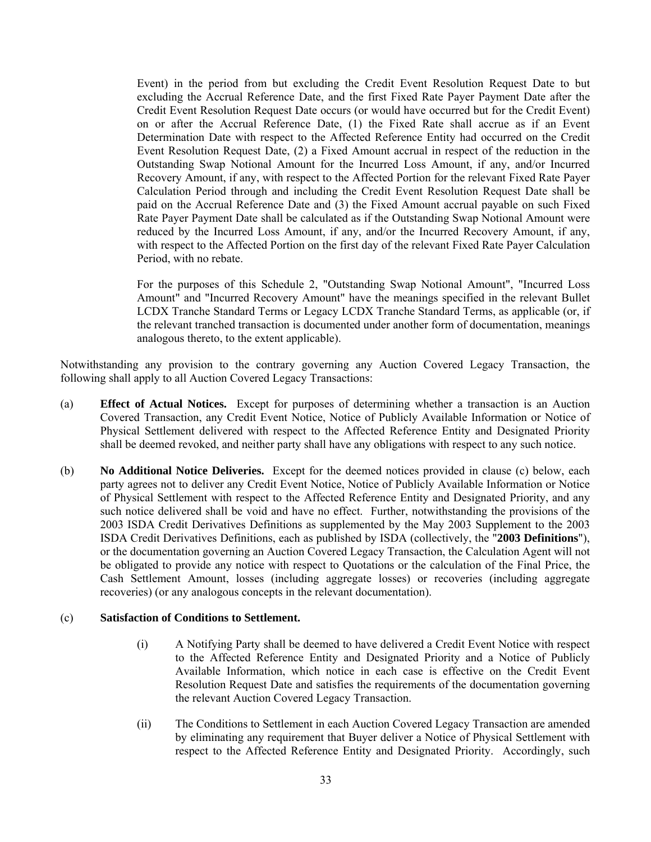Event) in the period from but excluding the Credit Event Resolution Request Date to but excluding the Accrual Reference Date, and the first Fixed Rate Payer Payment Date after the Credit Event Resolution Request Date occurs (or would have occurred but for the Credit Event) on or after the Accrual Reference Date, (1) the Fixed Rate shall accrue as if an Event Determination Date with respect to the Affected Reference Entity had occurred on the Credit Event Resolution Request Date, (2) a Fixed Amount accrual in respect of the reduction in the Outstanding Swap Notional Amount for the Incurred Loss Amount, if any, and/or Incurred Recovery Amount, if any, with respect to the Affected Portion for the relevant Fixed Rate Payer Calculation Period through and including the Credit Event Resolution Request Date shall be paid on the Accrual Reference Date and (3) the Fixed Amount accrual payable on such Fixed Rate Payer Payment Date shall be calculated as if the Outstanding Swap Notional Amount were reduced by the Incurred Loss Amount, if any, and/or the Incurred Recovery Amount, if any, with respect to the Affected Portion on the first day of the relevant Fixed Rate Payer Calculation Period, with no rebate.

For the purposes of this Schedule 2, "Outstanding Swap Notional Amount", "Incurred Loss Amount" and "Incurred Recovery Amount" have the meanings specified in the relevant Bullet LCDX Tranche Standard Terms or Legacy LCDX Tranche Standard Terms, as applicable (or, if the relevant tranched transaction is documented under another form of documentation, meanings analogous thereto, to the extent applicable).

Notwithstanding any provision to the contrary governing any Auction Covered Legacy Transaction, the following shall apply to all Auction Covered Legacy Transactions:

- (a) **Effect of Actual Notices.** Except for purposes of determining whether a transaction is an Auction Covered Transaction, any Credit Event Notice, Notice of Publicly Available Information or Notice of Physical Settlement delivered with respect to the Affected Reference Entity and Designated Priority shall be deemed revoked, and neither party shall have any obligations with respect to any such notice.
- (b) **No Additional Notice Deliveries.** Except for the deemed notices provided in clause (c) below, each party agrees not to deliver any Credit Event Notice, Notice of Publicly Available Information or Notice of Physical Settlement with respect to the Affected Reference Entity and Designated Priority, and any such notice delivered shall be void and have no effect. Further, notwithstanding the provisions of the 2003 ISDA Credit Derivatives Definitions as supplemented by the May 2003 Supplement to the 2003 ISDA Credit Derivatives Definitions, each as published by ISDA (collectively, the "**2003 Definitions**"), or the documentation governing an Auction Covered Legacy Transaction, the Calculation Agent will not be obligated to provide any notice with respect to Quotations or the calculation of the Final Price, the Cash Settlement Amount, losses (including aggregate losses) or recoveries (including aggregate recoveries) (or any analogous concepts in the relevant documentation).

#### (c) **Satisfaction of Conditions to Settlement.**

- (i) A Notifying Party shall be deemed to have delivered a Credit Event Notice with respect to the Affected Reference Entity and Designated Priority and a Notice of Publicly Available Information, which notice in each case is effective on the Credit Event Resolution Request Date and satisfies the requirements of the documentation governing the relevant Auction Covered Legacy Transaction.
- (ii) The Conditions to Settlement in each Auction Covered Legacy Transaction are amended by eliminating any requirement that Buyer deliver a Notice of Physical Settlement with respect to the Affected Reference Entity and Designated Priority. Accordingly, such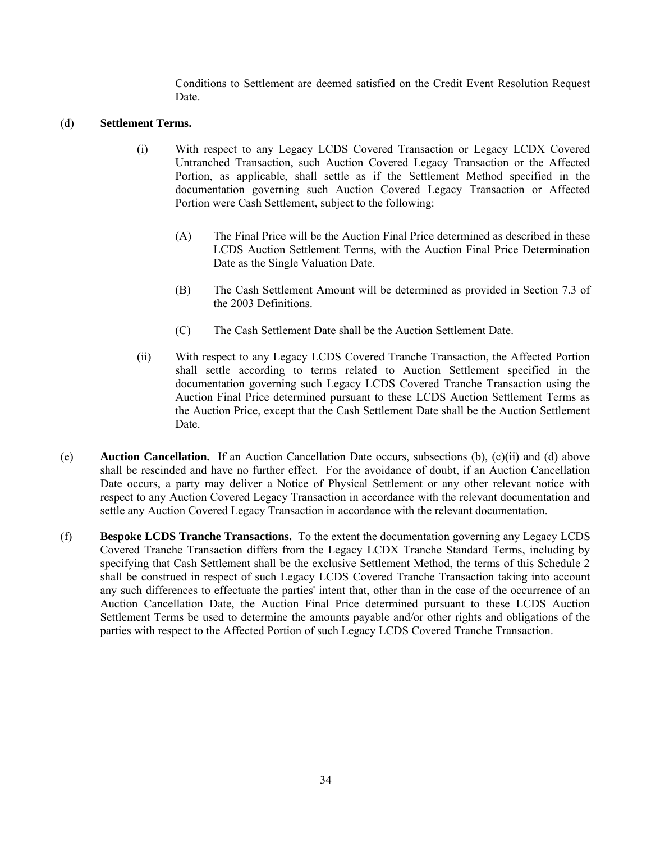Conditions to Settlement are deemed satisfied on the Credit Event Resolution Request Date.

#### (d) **Settlement Terms.**

- (i) With respect to any Legacy LCDS Covered Transaction or Legacy LCDX Covered Untranched Transaction, such Auction Covered Legacy Transaction or the Affected Portion, as applicable, shall settle as if the Settlement Method specified in the documentation governing such Auction Covered Legacy Transaction or Affected Portion were Cash Settlement, subject to the following:
	- (A) The Final Price will be the Auction Final Price determined as described in these LCDS Auction Settlement Terms, with the Auction Final Price Determination Date as the Single Valuation Date.
	- (B) The Cash Settlement Amount will be determined as provided in Section 7.3 of the 2003 Definitions.
	- (C) The Cash Settlement Date shall be the Auction Settlement Date.
- (ii) With respect to any Legacy LCDS Covered Tranche Transaction, the Affected Portion shall settle according to terms related to Auction Settlement specified in the documentation governing such Legacy LCDS Covered Tranche Transaction using the Auction Final Price determined pursuant to these LCDS Auction Settlement Terms as the Auction Price, except that the Cash Settlement Date shall be the Auction Settlement Date.
- (e) **Auction Cancellation.** If an Auction Cancellation Date occurs, subsections (b), (c)(ii) and (d) above shall be rescinded and have no further effect. For the avoidance of doubt, if an Auction Cancellation Date occurs, a party may deliver a Notice of Physical Settlement or any other relevant notice with respect to any Auction Covered Legacy Transaction in accordance with the relevant documentation and settle any Auction Covered Legacy Transaction in accordance with the relevant documentation.
- (f) **Bespoke LCDS Tranche Transactions.** To the extent the documentation governing any Legacy LCDS Covered Tranche Transaction differs from the Legacy LCDX Tranche Standard Terms, including by specifying that Cash Settlement shall be the exclusive Settlement Method, the terms of this Schedule 2 shall be construed in respect of such Legacy LCDS Covered Tranche Transaction taking into account any such differences to effectuate the parties' intent that, other than in the case of the occurrence of an Auction Cancellation Date, the Auction Final Price determined pursuant to these LCDS Auction Settlement Terms be used to determine the amounts payable and/or other rights and obligations of the parties with respect to the Affected Portion of such Legacy LCDS Covered Tranche Transaction.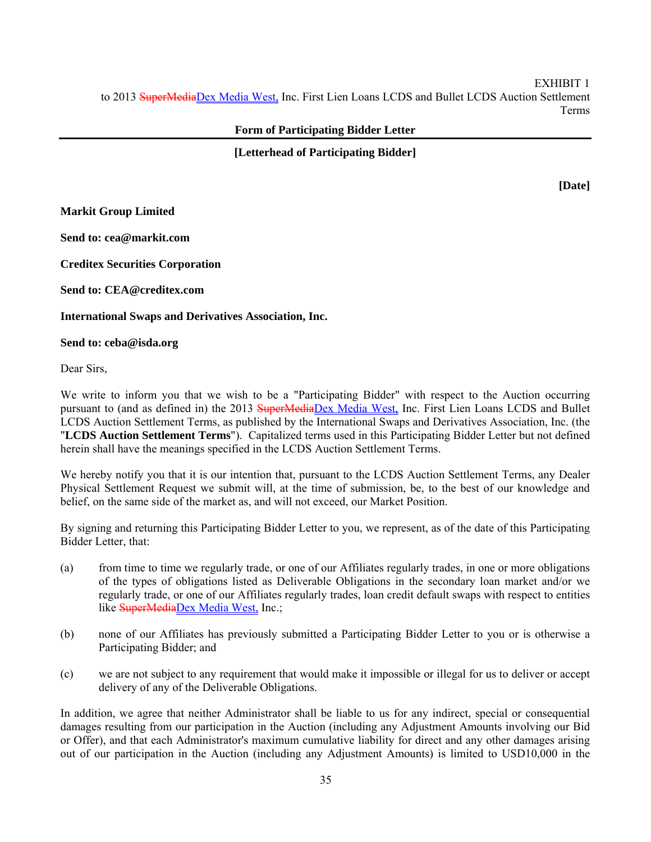EXHIBIT 1 to 2013 SuperMediaDex Media West, Inc. First Lien Loans LCDS and Bullet LCDS Auction Settlement Terms

#### **Form of Participating Bidder Letter**

**[Letterhead of Participating Bidder]** 

**[Date]** 

**Markit Group Limited** 

**Send to: cea@markit.com** 

**Creditex Securities Corporation** 

**Send to: CEA@creditex.com** 

**International Swaps and Derivatives Association, Inc.** 

**Send to: ceba@isda.org** 

Dear Sirs,

We write to inform you that we wish to be a "Participating Bidder" with respect to the Auction occurring pursuant to (and as defined in) the 2013 SuperMediaDex Media West, Inc. First Lien Loans LCDS and Bullet LCDS Auction Settlement Terms, as published by the International Swaps and Derivatives Association, Inc. (the "**LCDS Auction Settlement Terms**"). Capitalized terms used in this Participating Bidder Letter but not defined herein shall have the meanings specified in the LCDS Auction Settlement Terms.

We hereby notify you that it is our intention that, pursuant to the LCDS Auction Settlement Terms, any Dealer Physical Settlement Request we submit will, at the time of submission, be, to the best of our knowledge and belief, on the same side of the market as, and will not exceed, our Market Position.

By signing and returning this Participating Bidder Letter to you, we represent, as of the date of this Participating Bidder Letter, that:

- (a) from time to time we regularly trade, or one of our Affiliates regularly trades, in one or more obligations of the types of obligations listed as Deliverable Obligations in the secondary loan market and/or we regularly trade, or one of our Affiliates regularly trades, loan credit default swaps with respect to entities like SuperMediaDex Media West, Inc.;
- (b) none of our Affiliates has previously submitted a Participating Bidder Letter to you or is otherwise a Participating Bidder; and
- (c) we are not subject to any requirement that would make it impossible or illegal for us to deliver or accept delivery of any of the Deliverable Obligations.

In addition, we agree that neither Administrator shall be liable to us for any indirect, special or consequential damages resulting from our participation in the Auction (including any Adjustment Amounts involving our Bid or Offer), and that each Administrator's maximum cumulative liability for direct and any other damages arising out of our participation in the Auction (including any Adjustment Amounts) is limited to USD10,000 in the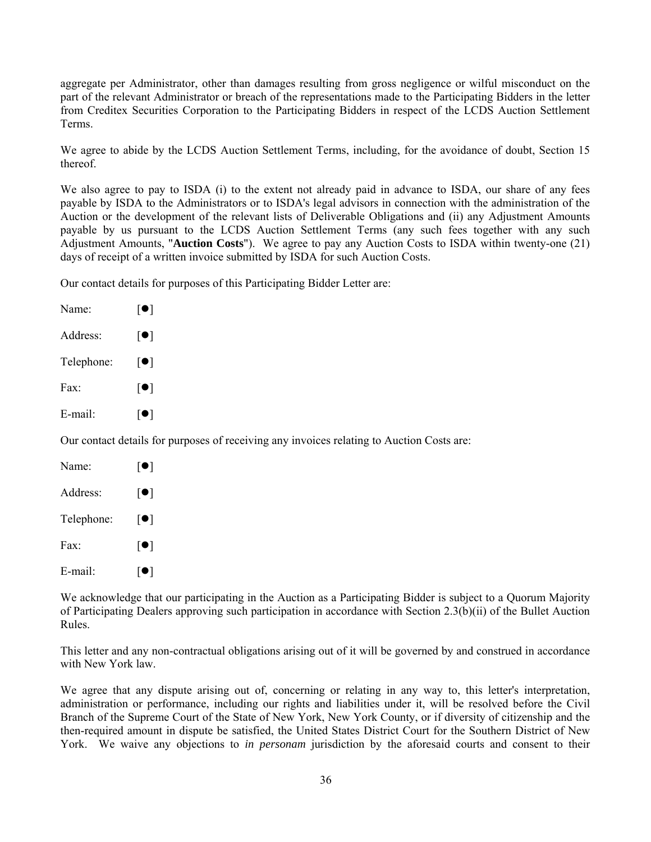aggregate per Administrator, other than damages resulting from gross negligence or wilful misconduct on the part of the relevant Administrator or breach of the representations made to the Participating Bidders in the letter from Creditex Securities Corporation to the Participating Bidders in respect of the LCDS Auction Settlement Terms.

We agree to abide by the LCDS Auction Settlement Terms, including, for the avoidance of doubt, Section 15 thereof.

We also agree to pay to ISDA (i) to the extent not already paid in advance to ISDA, our share of any fees payable by ISDA to the Administrators or to ISDA's legal advisors in connection with the administration of the Auction or the development of the relevant lists of Deliverable Obligations and (ii) any Adjustment Amounts payable by us pursuant to the LCDS Auction Settlement Terms (any such fees together with any such Adjustment Amounts, "**Auction Costs**"). We agree to pay any Auction Costs to ISDA within twenty-one (21) days of receipt of a written invoice submitted by ISDA for such Auction Costs.

Our contact details for purposes of this Participating Bidder Letter are:

| Name:      | $  \bullet  $                                                                             |
|------------|-------------------------------------------------------------------------------------------|
| Address:   | $\lceil \bullet \rceil$                                                                   |
| Telephone: | $\lceil \bullet \rceil$                                                                   |
| Fax:       | $\lceil \bullet \rceil$                                                                   |
| E-mail:    | $\lceil \bullet \rceil$                                                                   |
|            | Our contact details for purposes of receiving any invoices relating to Auction Costs are: |
| Name:      | $  \bullet  $                                                                             |

| Address:   | ● |
|------------|---|
| Telephone: | ● |
| Fax:       | ● |
| E-mail:    | ● |

We acknowledge that our participating in the Auction as a Participating Bidder is subject to a Quorum Majority of Participating Dealers approving such participation in accordance with Section 2.3(b)(ii) of the Bullet Auction Rules.

This letter and any non-contractual obligations arising out of it will be governed by and construed in accordance with New York law.

We agree that any dispute arising out of, concerning or relating in any way to, this letter's interpretation, administration or performance, including our rights and liabilities under it, will be resolved before the Civil Branch of the Supreme Court of the State of New York, New York County, or if diversity of citizenship and the then-required amount in dispute be satisfied, the United States District Court for the Southern District of New York. We waive any objections to *in personam* jurisdiction by the aforesaid courts and consent to their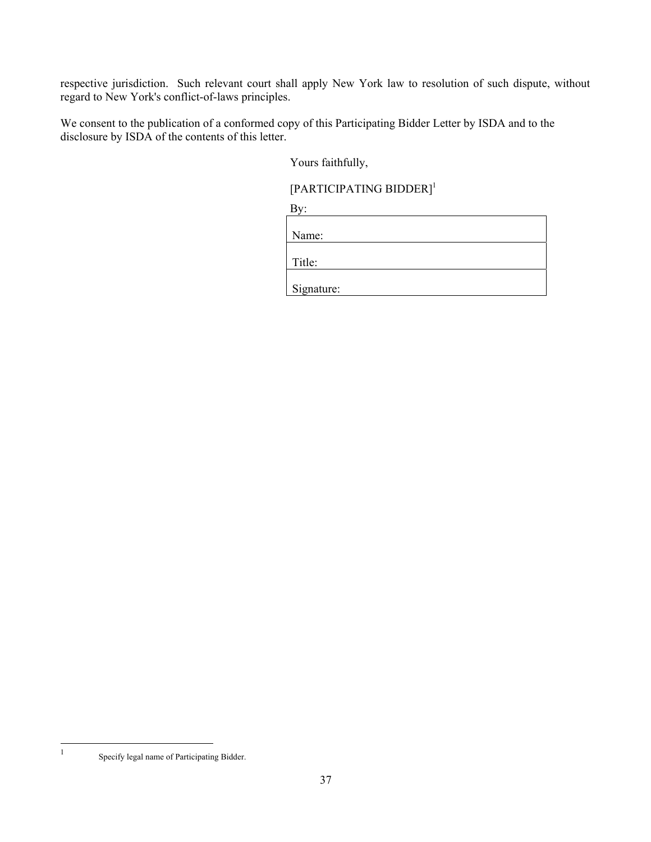respective jurisdiction. Such relevant court shall apply New York law to resolution of such dispute, without regard to New York's conflict-of-laws principles.

We consent to the publication of a conformed copy of this Participating Bidder Letter by ISDA and to the disclosure by ISDA of the contents of this letter.

Yours faithfully,

# [PARTICIPATING BIDDER]<sup>1</sup>

By: **By** and **By** and **By** and **By** and **By** and **By** and **By** and **By** and **By** and **By** and **By** and **By** and **By** and **By** and **By** and **By** and **By** and **By** and **By** and **By** and **By** and **By** and **By** and **By** and **B** 

| Name:      |  |  |
|------------|--|--|
| Title:     |  |  |
| Signature: |  |  |

Specify legal name of Participating Bidder.

 $\frac{1}{1}$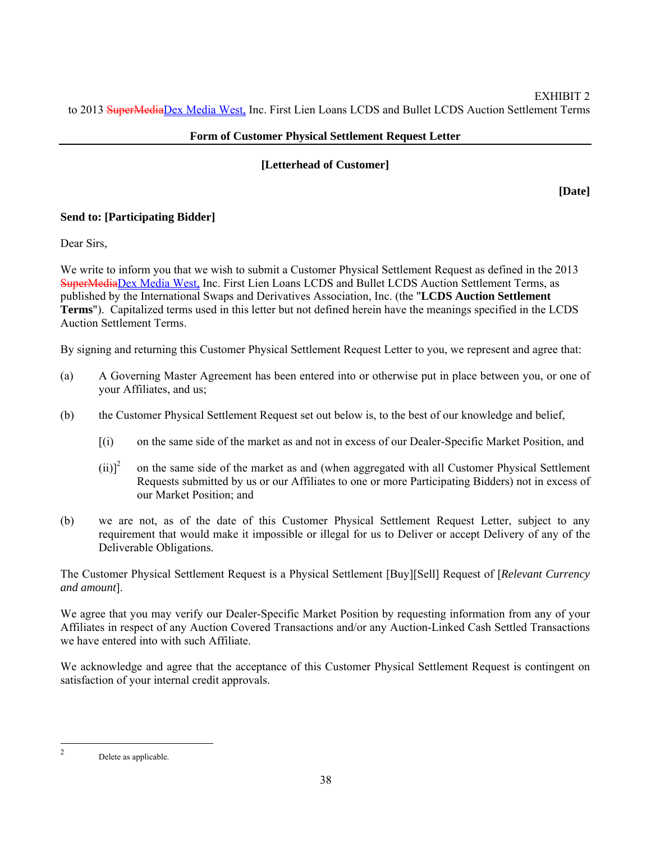# **Form of Customer Physical Settlement Request Letter**

## **[Letterhead of Customer]**

**[Date]** 

# **Send to: [Participating Bidder]**

Dear Sirs,

We write to inform you that we wish to submit a Customer Physical Settlement Request as defined in the 2013 SuperMediaDex Media West, Inc. First Lien Loans LCDS and Bullet LCDS Auction Settlement Terms, as published by the International Swaps and Derivatives Association, Inc. (the "**LCDS Auction Settlement Terms**"). Capitalized terms used in this letter but not defined herein have the meanings specified in the LCDS Auction Settlement Terms.

By signing and returning this Customer Physical Settlement Request Letter to you, we represent and agree that:

- (a) A Governing Master Agreement has been entered into or otherwise put in place between you, or one of your Affiliates, and us;
- (b) the Customer Physical Settlement Request set out below is, to the best of our knowledge and belief,
	- [(i) on the same side of the market as and not in excess of our Dealer-Specific Market Position, and
	- $(ii)<sup>2</sup>$  on the same side of the market as and (when aggregated with all Customer Physical Settlement Requests submitted by us or our Affiliates to one or more Participating Bidders) not in excess of our Market Position; and
- (b) we are not, as of the date of this Customer Physical Settlement Request Letter, subject to any requirement that would make it impossible or illegal for us to Deliver or accept Delivery of any of the Deliverable Obligations.

The Customer Physical Settlement Request is a Physical Settlement [Buy][Sell] Request of [*Relevant Currency and amount*].

We agree that you may verify our Dealer-Specific Market Position by requesting information from any of your Affiliates in respect of any Auction Covered Transactions and/or any Auction-Linked Cash Settled Transactions we have entered into with such Affiliate

We acknowledge and agree that the acceptance of this Customer Physical Settlement Request is contingent on satisfaction of your internal credit approvals.

Delete as applicable.

 $\frac{1}{2}$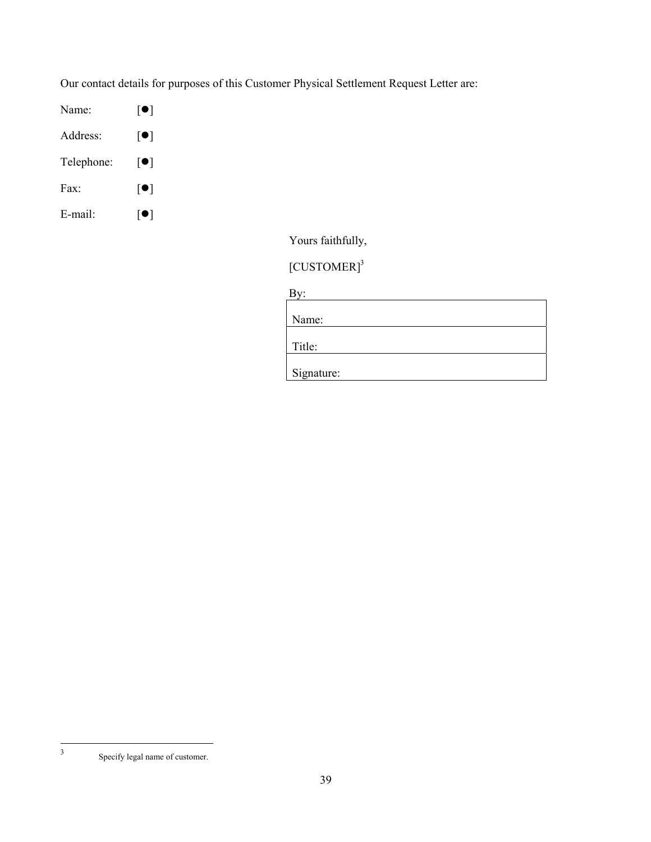Our contact details for purposes of this Customer Physical Settlement Request Letter are:

- Name:  $[\bullet]$
- Address:  $[•]$
- Telephone:  $[\bullet]$
- Fax:  $[•]$
- E-mail:  $[\bullet]$

Yours faithfully,

[CUSTOMER]<sup>3</sup>

By:

| Name:      |  |  |  |
|------------|--|--|--|
| Title:     |  |  |  |
| Signature: |  |  |  |

 $\frac{1}{3}$ 

Specify legal name of customer.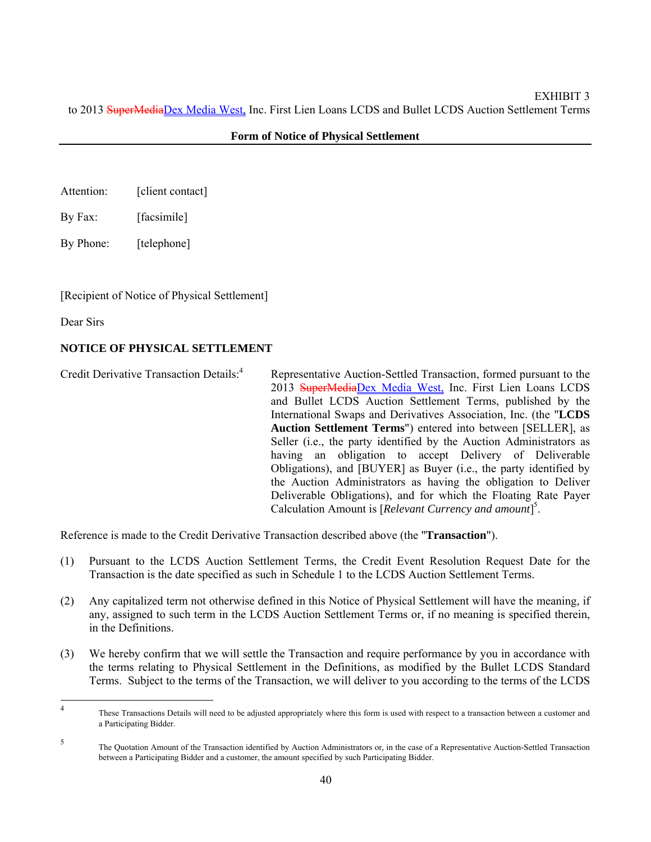#### **Form of Notice of Physical Settlement**

- Attention: [client contact]
- By Fax: [facsimile]
- By Phone: [telephone]

[Recipient of Notice of Physical Settlement]

Dear Sirs

# **NOTICE OF PHYSICAL SETTLEMENT**

Credit Derivative Transaction Details:4 Representative Auction-Settled Transaction, formed pursuant to the 2013 SuperMediaDex Media West, Inc. First Lien Loans LCDS and Bullet LCDS Auction Settlement Terms, published by the International Swaps and Derivatives Association, Inc. (the "**LCDS Auction Settlement Terms**") entered into between [SELLER], as Seller (i.e., the party identified by the Auction Administrators as having an obligation to accept Delivery of Deliverable Obligations), and [BUYER] as Buyer (i.e., the party identified by the Auction Administrators as having the obligation to Deliver Deliverable Obligations), and for which the Floating Rate Payer Calculation Amount is [*Relevant Currency and amount*] 5 .

Reference is made to the Credit Derivative Transaction described above (the "**Transaction**").

- (1) Pursuant to the LCDS Auction Settlement Terms, the Credit Event Resolution Request Date for the Transaction is the date specified as such in Schedule 1 to the LCDS Auction Settlement Terms.
- (2) Any capitalized term not otherwise defined in this Notice of Physical Settlement will have the meaning, if any, assigned to such term in the LCDS Auction Settlement Terms or, if no meaning is specified therein, in the Definitions.
- (3) We hereby confirm that we will settle the Transaction and require performance by you in accordance with the terms relating to Physical Settlement in the Definitions, as modified by the Bullet LCDS Standard Terms. Subject to the terms of the Transaction, we will deliver to you according to the terms of the LCDS

 $\frac{1}{4}$  These Transactions Details will need to be adjusted appropriately where this form is used with respect to a transaction between a customer and a Participating Bidder.

<sup>5</sup> The Quotation Amount of the Transaction identified by Auction Administrators or, in the case of a Representative Auction-Settled Transaction between a Participating Bidder and a customer, the amount specified by such Participating Bidder.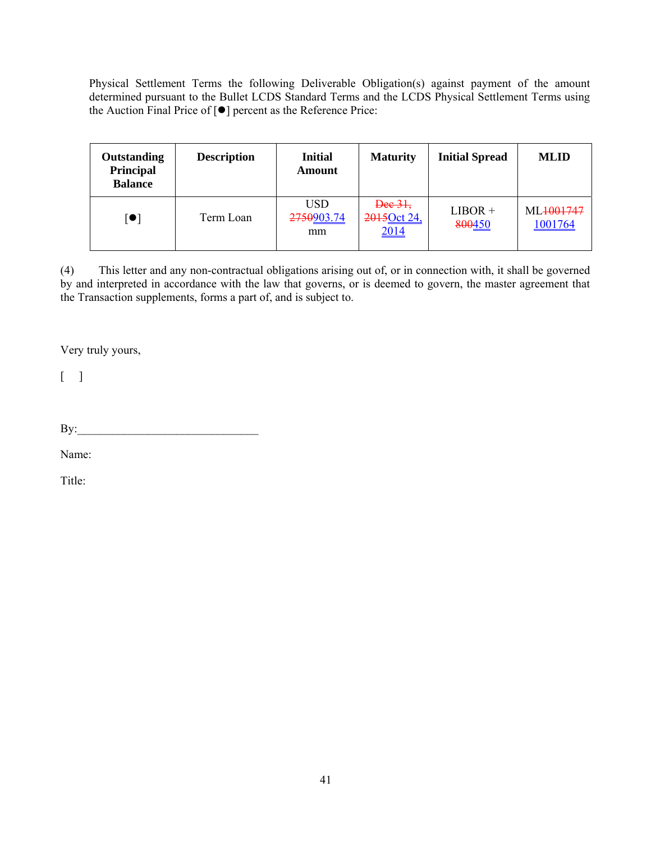Physical Settlement Terms the following Deliverable Obligation(s) against payment of the amount determined pursuant to the Bullet LCDS Standard Terms and the LCDS Physical Settlement Terms using the Auction Final Price of  $[**•**]$  percent as the Reference Price:

| <b>Outstanding</b><br>Principal<br><b>Balance</b> | <b>Description</b> | <b>Initial</b><br>Amount       | <b>Maturity</b>                | <b>Initial Spread</b> | <b>MLID</b>          |
|---------------------------------------------------|--------------------|--------------------------------|--------------------------------|-----------------------|----------------------|
| $\left[ \bullet \right]$                          | Term Loan          | <b>USD</b><br>2750903.74<br>mm | Dec 31,<br>2015Oct 24,<br>2014 | $LIBOR +$<br>800450   | ML4001747<br>1001764 |

(4) This letter and any non-contractual obligations arising out of, or in connection with, it shall be governed by and interpreted in accordance with the law that governs, or is deemed to govern, the master agreement that the Transaction supplements, forms a part of, and is subject to.

Very truly yours,

 $\lceil \cdot \rceil$ 

By:\_\_\_\_\_\_\_\_\_\_\_\_\_\_\_\_\_\_\_\_\_\_\_\_\_\_\_\_\_\_\_

Name:

Title: